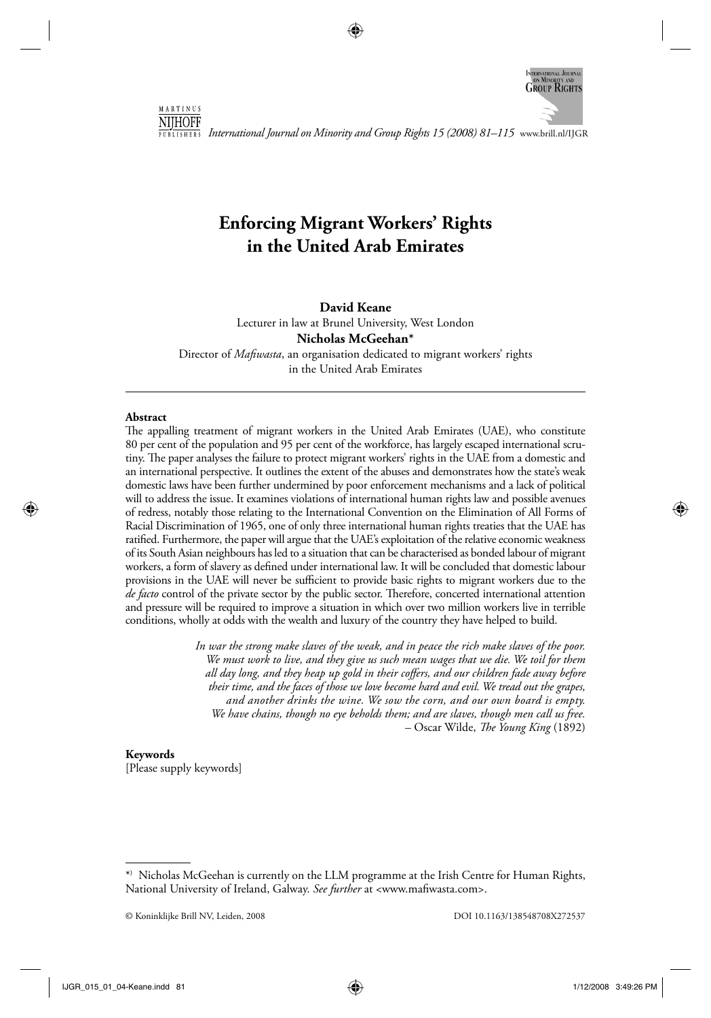



*International Journal on Minority and Group Rights 15 (2008) 81–115* www.brill.nl/IJGR

# **Enforcing Migrant Workers' Rights in the United Arab Emirates**

⊕

#### **David Keane**

 Lecturer in law at Brunel University, West London  **Nicholas McGeehan \***  Director of *Mafiwasta*, an organisation dedicated to migrant workers' rights in the United Arab Emirates

#### **Abstract**

⊕

The appalling treatment of migrant workers in the United Arab Emirates (UAE), who constitute 80 per cent of the population and 95 per cent of the workforce, has largely escaped international scrutiny. The paper analyses the failure to protect migrant workers' rights in the UAE from a domestic and an international perspective. It outlines the extent of the abuses and demonstrates how the state's weak domestic laws have been further undermined by poor enforcement mechanisms and a lack of political will to address the issue. It examines violations of international human rights law and possible avenues of redress, notably those relating to the International Convention on the Elimination of All Forms of Racial Discrimination of 1965, one of only three international human rights treaties that the UAE has ratified. Furthermore, the paper will argue that the UAE's exploitation of the relative economic weakness of its South Asian neighbours has led to a situation that can be characterised as bonded labour of migrant workers, a form of slavery as defined under international law. It will be concluded that domestic labour provisions in the UAE will never be sufficient to provide basic rights to migrant workers due to the de facto control of the private sector by the public sector. Therefore, concerted international attention and pressure will be required to improve a situation in which over two million workers live in terrible conditions, wholly at odds with the wealth and luxury of the country they have helped to build.

> *In war the strong make slaves of the weak, and in peace the rich make slaves of the poor. We must work to live, and they give us such mean wages that we die. We toil for them all day long, and they heap up gold in their coff ers, and our children fade away before their time, and the faces of those we love become hard and evil. We tread out the grapes, and another drinks the wine. We sow the corn, and our own board is empty. We have chains, though no eye beholds them; and are slaves, though men call us free.* – Oscar Wilde, *The Young King* (1892)

**Keywords** [Please supply keywords]

© Koninklijke Brill NV, Leiden, 2008 DOI 10.1163/138548708X272537

<sup>\*)</sup> Nicholas McGeehan is currently on the LLM programme at the Irish Centre for Human Rights, National University of Ireland, Galway. See further at <www.mafiwasta.com>.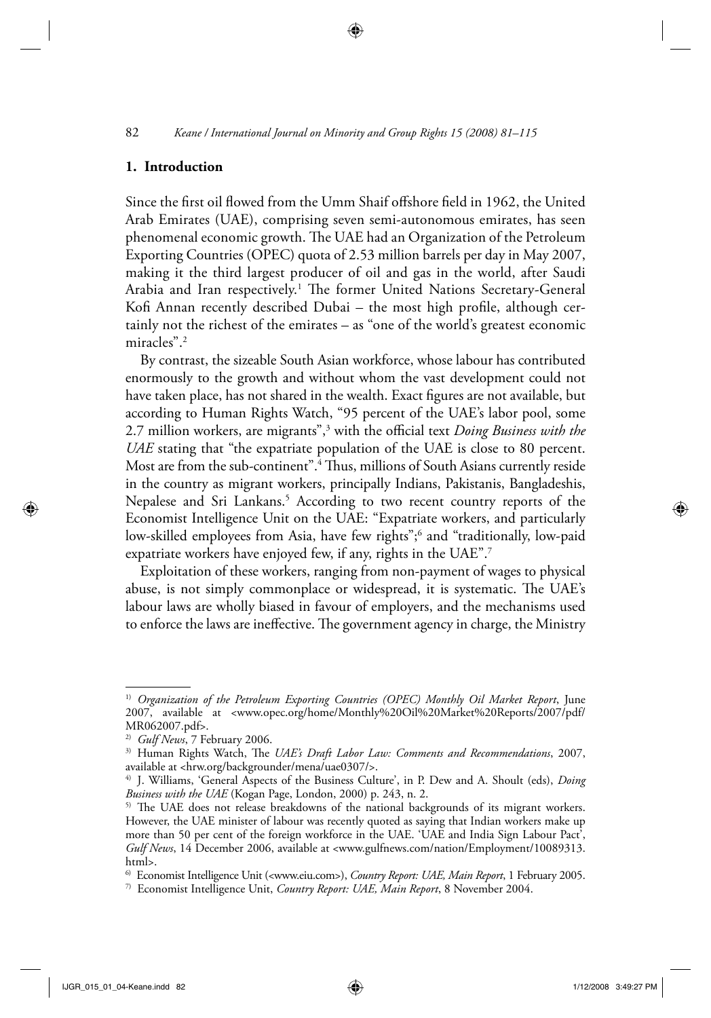⊕

#### **1. Introduction**

Since the first oil flowed from the Umm Shaif offshore field in 1962, the United Arab Emirates (UAE), comprising seven semi-autonomous emirates, has seen phenomenal economic growth. The UAE had an Organization of the Petroleum Exporting Countries (OPEC) quota of 2.53 million barrels per day in May 2007, making it the third largest producer of oil and gas in the world, after Saudi Arabia and Iran respectively.<sup>1</sup> The former United Nations Secretary-General Kofi Annan recently described Dubai – the most high profile, although certainly not the richest of the emirates – as "one of the world's greatest economic miracles". 2

 By contrast, the sizeable South Asian workforce, whose labour has contributed enormously to the growth and without whom the vast development could not have taken place, has not shared in the wealth. Exact figures are not available, but according to Human Rights Watch, "95 percent of the UAE's labor pool, some 2.7 million workers, are migrants",<sup>3</sup> with the official text *Doing Business with the UAE* stating that "the expatriate population of the UAE is close to 80 percent. Most are from the sub-continent".<sup>4</sup> Thus, millions of South Asians currently reside in the country as migrant workers, principally Indians, Pakistanis, Bangladeshis, Nepalese and Sri Lankans.<sup>5</sup> According to two recent country reports of the Economist Intelligence Unit on the UAE: "Expatriate workers, and particularly low-skilled employees from Asia, have few rights";<sup>6</sup> and "traditionally, low-paid expatriate workers have enjoyed few, if any, rights in the UAE".<sup>7</sup>

 Exploitation of these workers, ranging from non-payment of wages to physical abuse, is not simply commonplace or widespread, it is systematic. The UAE's labour laws are wholly biased in favour of employers, and the mechanisms used to enforce the laws are ineffective. The government agency in charge, the Ministry

IJGR\_015\_01\_04-Keane.indd 82 JGR\_015\_01\_04-Keane.indd 82 JGR\_015\_01\_04-Keane.indd 1/12/2008 3:49:27 PM /

<sup>&</sup>lt;sup>1)</sup> Organization of the Petroleum Exporting Countries (OPEC) Monthly Oil Market Report, June 2007, available at <www.opec.org/home/Monthly%20Oil%20Market%20Reports/2007/pdf/ MR062007.pdf>.

 <sup>2)</sup> *Gulf News* , 7 February 2006.

<sup>&</sup>lt;sup>3)</sup> Human Rights Watch, The *UAE's Draft Labor Law: Comments and Recommendations*, 2007, available at <hrw.org/backgrounder/mena/uae0307/>.

 <sup>4)</sup> J. Williams, 'General Aspects of the Business Culture', in P. Dew and A. Shoult (eds), *Doing Business with the UAE* (Kogan Page, London, 2000) p. 243, n. 2.

<sup>&</sup>lt;sup>5)</sup> The UAE does not release breakdowns of the national backgrounds of its migrant workers. However, the UAE minister of labour was recently quoted as saying that Indian workers make up more than 50 per cent of the foreign workforce in the UAE. 'UAE and India Sign Labour Pact', *Gulf News* , 14 December 2006, available at <www.gulfnews.com/nation/Employment/10089313. html>.

 <sup>6)</sup> Economist Intelligence Unit (<www.eiu.com>), *Country Report: UAE, Main Report* , 1 February 2005.

 <sup>7)</sup> Economist Intelligence Unit, *Country Report: UAE, Main Report* , 8 November 2004.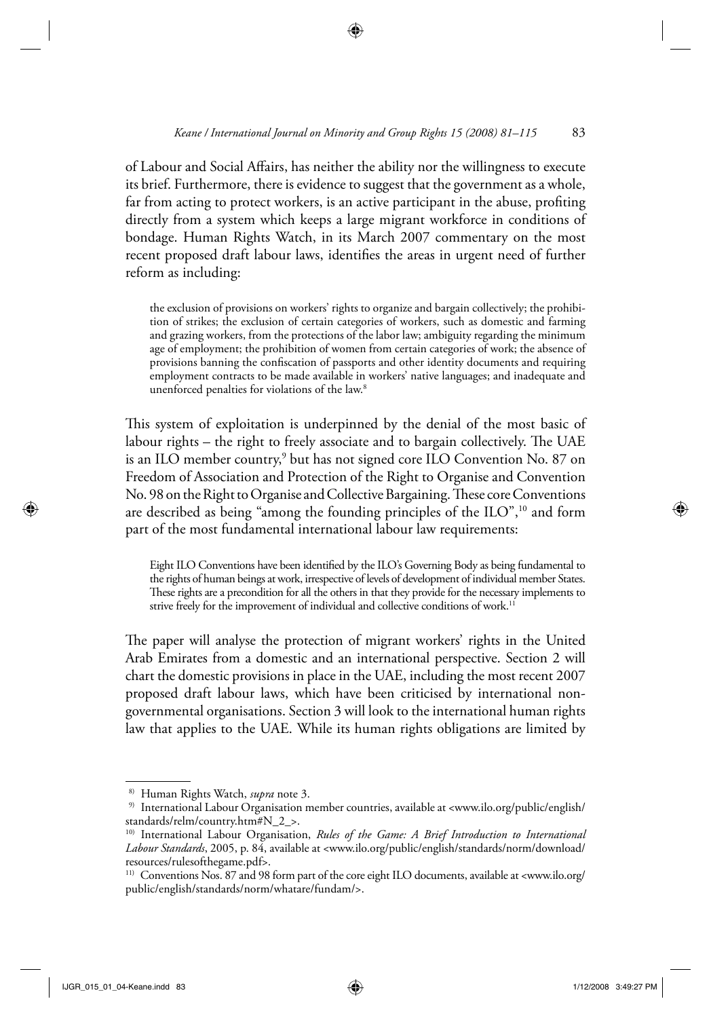of Labour and Social Affairs, has neither the ability nor the willingness to execute its brief. Furthermore, there is evidence to suggest that the government as a whole, far from acting to protect workers, is an active participant in the abuse, profiting directly from a system which keeps a large migrant workforce in conditions of bondage. Human Rights Watch, in its March 2007 commentary on the most recent proposed draft labour laws, identifies the areas in urgent need of further reform as including:

 the exclusion of provisions on workers' rights to organize and bargain collectively; the prohibition of strikes; the exclusion of certain categories of workers, such as domestic and farming and grazing workers, from the protections of the labor law; ambiguity regarding the minimum age of employment; the prohibition of women from certain categories of work; the absence of provisions banning the confiscation of passports and other identity documents and requiring employment contracts to be made available in workers' native languages; and inadequate and unenforced penalties for violations of the law.<sup>8</sup>

This system of exploitation is underpinned by the denial of the most basic of labour rights – the right to freely associate and to bargain collectively. The UAE is an ILO member country, $^9$  but has not signed core ILO Convention No. 87 on Freedom of Association and Protection of the Right to Organise and Convention No. 98 on the Right to Organise and Collective Bargaining. These core Conventions are described as being "among the founding principles of the ILO",<sup>10</sup> and form part of the most fundamental international labour law requirements:

Eight ILO Conventions have been identified by the ILO's Governing Body as being fundamental to the rights of human beings at work, irrespective of levels of development of individual member States. These rights are a precondition for all the others in that they provide for the necessary implements to strive freely for the improvement of individual and collective conditions of work.<sup>11</sup>

The paper will analyse the protection of migrant workers' rights in the United Arab Emirates from a domestic and an international perspective. Section 2 will chart the domestic provisions in place in the UAE, including the most recent 2007 proposed draft labour laws, which have been criticised by international nongovernmental organisations. Section 3 will look to the international human rights law that applies to the UAE. While its human rights obligations are limited by

IJGR\_015\_01\_04-Keane.indd 83 JGR\_015\_01\_04-Keane.indd 1/12/2008 3:49:27 PM /12/2008

 <sup>8)</sup> Human Rights Watch, *supra* note 3.

 <sup>9)</sup> International Labour Organisation member countries, available at <www.ilo.org/public/english/ standards/relm/country.htm#N\_2\_>.

<sup>&</sup>lt;sup>10)</sup> International Labour Organisation, *Rules of the Game: A Brief Introduction to International Labour Standards* , 2005, p. 84, available at <www.ilo.org/public/english/standards/norm/download/ resources/rulesofthegame.pdf>.

 <sup>11)</sup> Conventions Nos. 87 and 98 form part of the core eight ILO documents, available at <www.ilo.org/ public/english/standards/norm/whatare/fundam/>.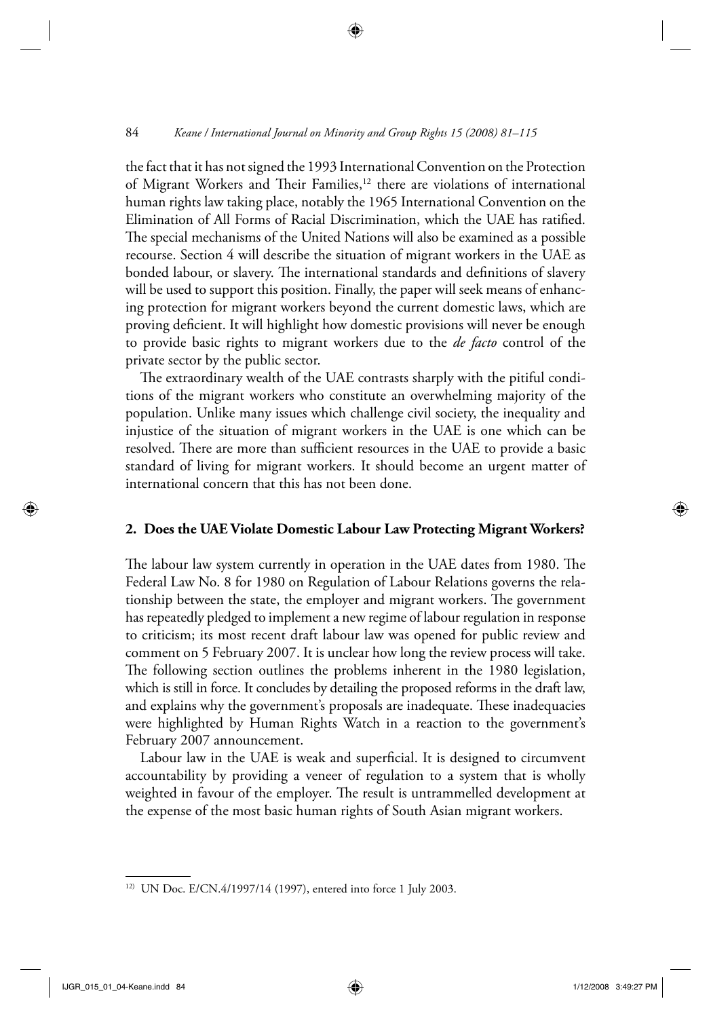⊕

the fact that it has not signed the 1993 International Convention on the Protection of Migrant Workers and Their Families,<sup>12</sup> there are violations of international human rights law taking place, notably the 1965 International Convention on the Elimination of All Forms of Racial Discrimination, which the UAE has ratified. The special mechanisms of the United Nations will also be examined as a possible recourse. Section 4 will describe the situation of migrant workers in the UAE as bonded labour, or slavery. The international standards and definitions of slavery will be used to support this position. Finally, the paper will seek means of enhancing protection for migrant workers beyond the current domestic laws, which are proving deficient. It will highlight how domestic provisions will never be enough to provide basic rights to migrant workers due to the *de facto* control of the private sector by the public sector.

The extraordinary wealth of the UAE contrasts sharply with the pitiful conditions of the migrant workers who constitute an overwhelming majority of the population. Unlike many issues which challenge civil society, the inequality and injustice of the situation of migrant workers in the UAE is one which can be resolved. There are more than sufficient resources in the UAE to provide a basic standard of living for migrant workers. It should become an urgent matter of international concern that this has not been done.

## **2. Does the UAE Violate Domestic Labour Law Protecting Migrant Workers?**

The labour law system currently in operation in the UAE dates from 1980. The Federal Law No. 8 for 1980 on Regulation of Labour Relations governs the relationship between the state, the employer and migrant workers. The government has repeatedly pledged to implement a new regime of labour regulation in response to criticism; its most recent draft labour law was opened for public review and comment on 5 February 2007. It is unclear how long the review process will take. The following section outlines the problems inherent in the 1980 legislation, which is still in force. It concludes by detailing the proposed reforms in the draft law, and explains why the government's proposals are inadequate. These inadequacies were highlighted by Human Rights Watch in a reaction to the government's February 2007 announcement.

Labour law in the UAE is weak and superficial. It is designed to circumvent accountability by providing a veneer of regulation to a system that is wholly weighted in favour of the employer. The result is untrammelled development at the expense of the most basic human rights of South Asian migrant workers.

◈

 <sup>12)</sup> UN Doc. E/CN.4/1997/14 (1997), entered into force 1 July 2003.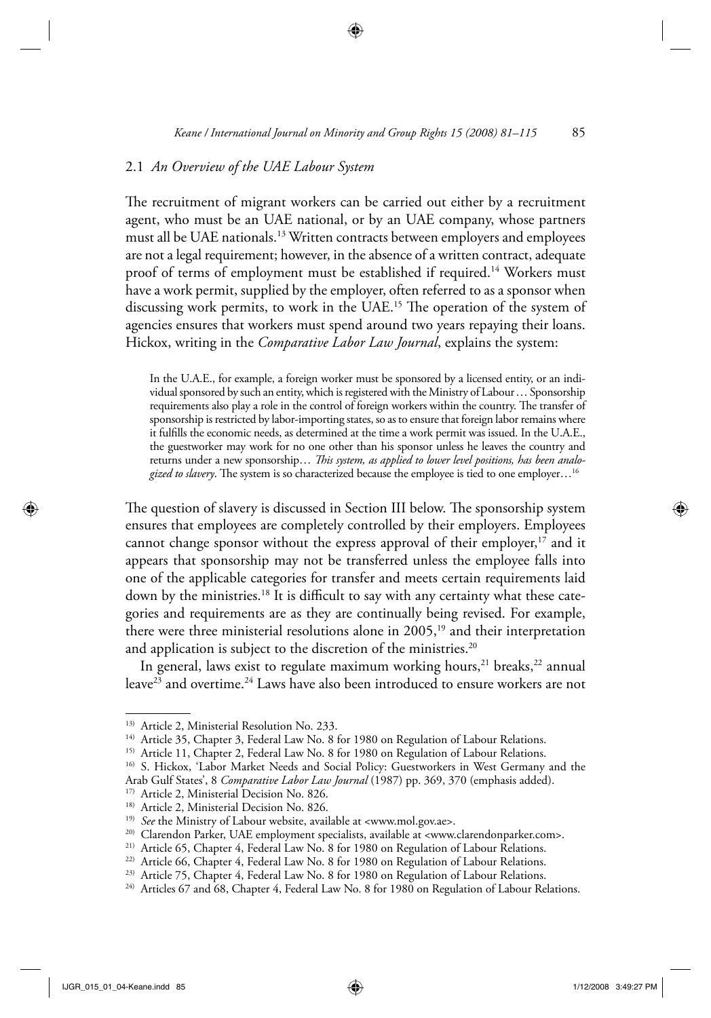#### 2.1 *An Overview of the UAE Labour System*

The recruitment of migrant workers can be carried out either by a recruitment agent, who must be an UAE national, or by an UAE company, whose partners must all be UAE nationals. 13 Written contracts between employers and employees are not a legal requirement; however, in the absence of a written contract, adequate proof of terms of employment must be established if required.<sup>14</sup> Workers must have a work permit, supplied by the employer, often referred to as a sponsor when discussing work permits, to work in the UAE.<sup>15</sup> The operation of the system of agencies ensures that workers must spend around two years repaying their loans. Hickox, writing in the *Comparative Labor Law Journal*, explains the system:

 In the U.A.E., for example, a foreign worker must be sponsored by a licensed entity, or an individual sponsored by such an entity, which is registered with the Ministry of Labour … Sponsorship requirements also play a role in the control of foreign workers within the country. The transfer of sponsorship is restricted by labor-importing states, so as to ensure that foreign labor remains where it fulfills the economic needs, as determined at the time a work permit was issued. In the U.A.E., the guestworker may work for no one other than his sponsor unless he leaves the country and returns under a new sponsorship... This system, as applied to lower level positions, has been analogized to slavery. The system is so characterized because the employee is tied to one employer...<sup>16</sup>

The question of slavery is discussed in Section III below. The sponsorship system ensures that employees are completely controlled by their employers. Employees cannot change sponsor without the express approval of their employer, $17$  and it appears that sponsorship may not be transferred unless the employee falls into one of the applicable categories for transfer and meets certain requirements laid down by the ministries.<sup>18</sup> It is difficult to say with any certainty what these categories and requirements are as they are continually being revised. For example, there were three ministerial resolutions alone in 2005,<sup>19</sup> and their interpretation and application is subject to the discretion of the ministries.<sup>20</sup>

In general, laws exist to regulate maximum working hours,<sup>21</sup> breaks,<sup>22</sup> annual leave<sup>23</sup> and overtime.<sup>24</sup> Laws have also been introduced to ensure workers are not

IJGR\_015\_01\_04-Keane.indd 85 JGR\_015\_01\_04-Keane.indd 1/12/2008 3:49:27 PM /12/2008

<sup>&</sup>lt;sup>13)</sup> Article 2, Ministerial Resolution No. 233.

<sup>&</sup>lt;sup>14)</sup> Article 35, Chapter 3, Federal Law No. 8 for 1980 on Regulation of Labour Relations.

<sup>&</sup>lt;sup>15)</sup> Article 11, Chapter 2, Federal Law No. 8 for 1980 on Regulation of Labour Relations.

 <sup>16)</sup> S. Hickox, 'Labor Market Needs and Social Policy: Guestworkers in West Germany and the Arab Gulf States', 8 *Comparative Labor Law Journal* (1987) pp. 369, 370 (emphasis added).

 <sup>17)</sup> Article 2, Ministerial Decision No. 826.

<sup>&</sup>lt;sup>18)</sup> Article 2, Ministerial Decision No. 826.

<sup>&</sup>lt;sup>19)</sup> See the Ministry of Labour website, available at <www.mol.gov.ae>.

 <sup>20)</sup> Clarendon Parker, UAE employment specialists, available at <www.clarendonparker.com>.

<sup>&</sup>lt;sup>21)</sup> Article 65, Chapter 4, Federal Law No. 8 for 1980 on Regulation of Labour Relations.

<sup>&</sup>lt;sup>22)</sup> Article 66, Chapter 4, Federal Law No. 8 for 1980 on Regulation of Labour Relations.

<sup>&</sup>lt;sup>23)</sup> Article 75, Chapter 4, Federal Law No. 8 for 1980 on Regulation of Labour Relations.

<sup>&</sup>lt;sup>24)</sup> Articles 67 and 68, Chapter 4, Federal Law No. 8 for 1980 on Regulation of Labour Relations.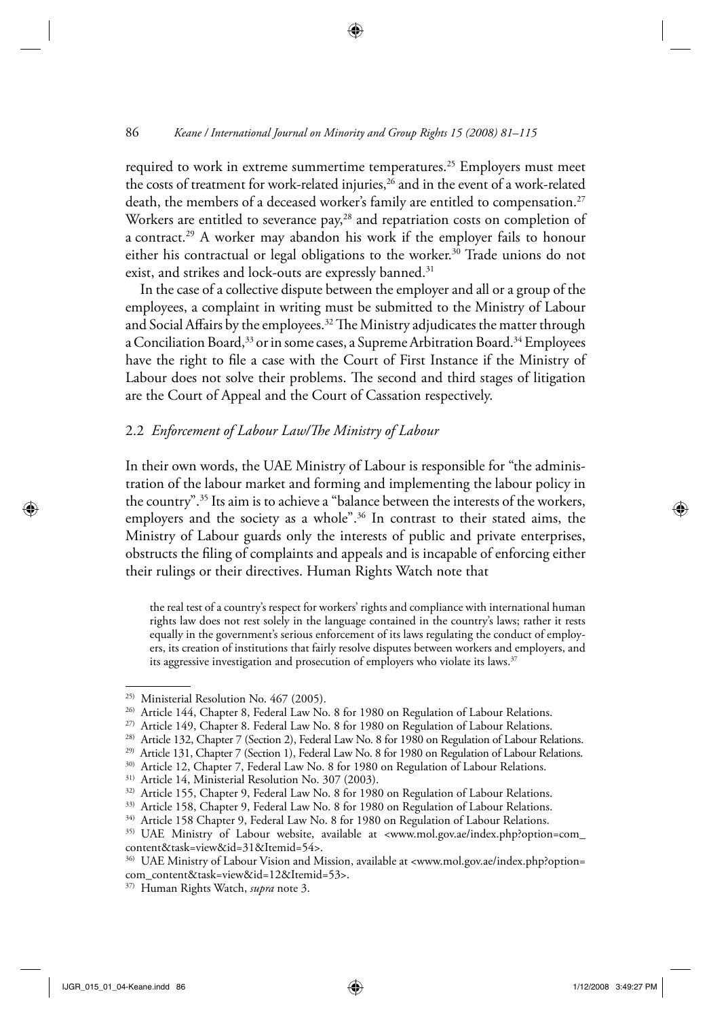required to work in extreme summertime temperatures.<sup>25</sup> Employers must meet the costs of treatment for work-related injuries,<sup>26</sup> and in the event of a work-related death, the members of a deceased worker's family are entitled to compensation.<sup>27</sup> Workers are entitled to severance  $pay<sub>i</sub><sup>28</sup>$  and repatriation costs on completion of a contract. 29 A worker may abandon his work if the employer fails to honour either his contractual or legal obligations to the worker.<sup>30</sup> Trade unions do not exist, and strikes and lock-outs are expressly banned.<sup>31</sup>

⊕

 In the case of a collective dispute between the employer and all or a group of the employees, a complaint in writing must be submitted to the Ministry of Labour and Social Affairs by the employees.<sup>32</sup> The Ministry adjudicates the matter through a Conciliation Board,<sup>33</sup> or in some cases, a Supreme Arbitration Board.<sup>34</sup> Employees have the right to file a case with the Court of First Instance if the Ministry of Labour does not solve their problems. The second and third stages of litigation are the Court of Appeal and the Court of Cassation respectively.

#### 2.2 Enforcement of Labour Law/The Ministry of Labour

 In their own words, the UAE Ministry of Labour is responsible for "the administration of the labour market and forming and implementing the labour policy in the country".<sup>35</sup> Its aim is to achieve a "balance between the interests of the workers, employers and the society as a whole".<sup>36</sup> In contrast to their stated aims, the Ministry of Labour guards only the interests of public and private enterprises, obstructs the filing of complaints and appeals and is incapable of enforcing either their rulings or their directives. Human Rights Watch note that

 the real test of a country's respect for workers' rights and compliance with international human rights law does not rest solely in the language contained in the country's laws; rather it rests equally in the government's serious enforcement of its laws regulating the conduct of employers, its creation of institutions that fairly resolve disputes between workers and employers, and its aggressive investigation and prosecution of employers who violate its laws.<sup>37</sup>

◈

<sup>&</sup>lt;sup>25)</sup> Ministerial Resolution No. 467 (2005).

 <sup>26)</sup> Article 144, Chapter 8, Federal Law No. 8 for 1980 on Regulation of Labour Relations.

<sup>&</sup>lt;sup>27)</sup> Article 149, Chapter 8. Federal Law No. 8 for 1980 on Regulation of Labour Relations.

 <sup>28)</sup> Article 132, Chapter 7 (Section 2), Federal Law No. 8 for 1980 on Regulation of Labour Relations.

<sup>&</sup>lt;sup>29)</sup> Article 131, Chapter 7 (Section 1), Federal Law No. 8 for 1980 on Regulation of Labour Relations.

<sup>&</sup>lt;sup>30)</sup> Article 12, Chapter 7, Federal Law No. 8 for 1980 on Regulation of Labour Relations.

<sup>&</sup>lt;sup>31)</sup> Article 14, Ministerial Resolution No. 307 (2003).

 <sup>32)</sup> Article 155, Chapter 9, Federal Law No. 8 for 1980 on Regulation of Labour Relations.

<sup>33)</sup> Article 158, Chapter 9, Federal Law No. 8 for 1980 on Regulation of Labour Relations.

 <sup>34)</sup> Article 158 Chapter 9, Federal Law No. 8 for 1980 on Regulation of Labour Relations.

<sup>&</sup>lt;sup>35)</sup> UAE Ministry of Labour website, available at <www.mol.gov.ae/index.php?option=com\_ content&task=view&id=31&Itemid=54>.

<sup>&</sup>lt;sup>36)</sup> UAE Ministry of Labour Vision and Mission, available at <www.mol.gov.ae/index.php?option= com\_content&task=view&id=12&Itemid=53>.

 <sup>37)</sup> Human Rights Watch, *supra* note 3.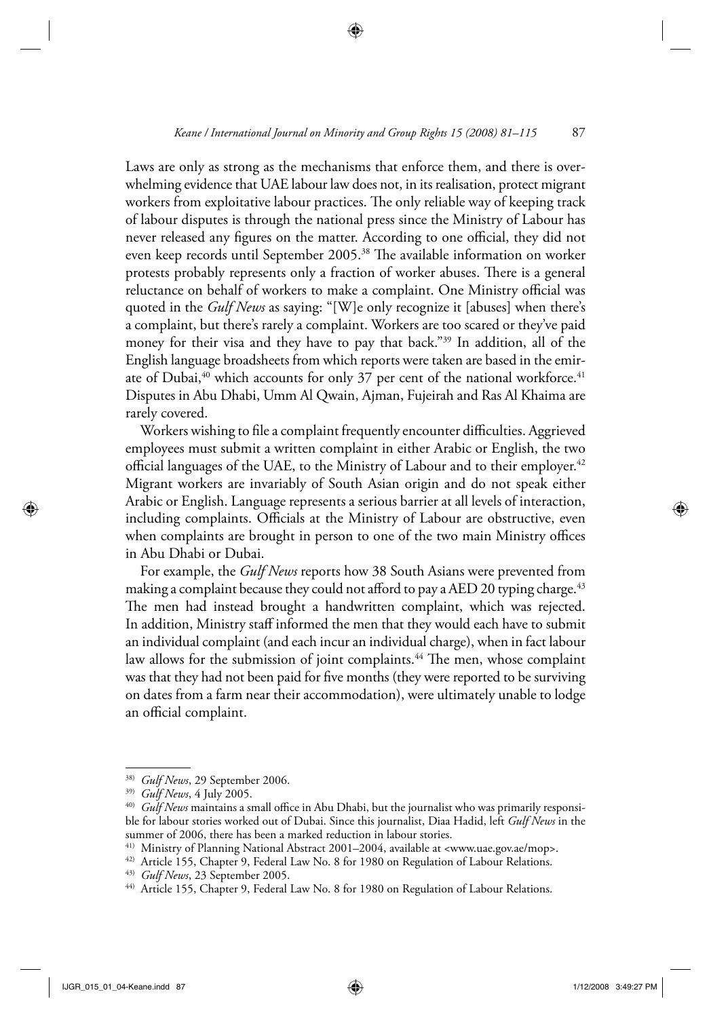⊕

 Laws are only as strong as the mechanisms that enforce them, and there is overwhelming evidence that UAE labour law does not, in its realisation, protect migrant workers from exploitative labour practices. The only reliable way of keeping track of labour disputes is through the national press since the Ministry of Labour has never released any figures on the matter. According to one official, they did not even keep records until September 2005.<sup>38</sup> The available information on worker protests probably represents only a fraction of worker abuses. There is a general reluctance on behalf of workers to make a complaint. One Ministry official was quoted in the *Gulf News* as saying: "[W]e only recognize it [abuses] when there's a complaint, but there's rarely a complaint. Workers are too scared or they've paid money for their visa and they have to pay that back."<sup>39</sup> In addition, all of the English language broadsheets from which reports were taken are based in the emirate of Dubai, $40$  which accounts for only 37 per cent of the national workforce. $41$ Disputes in Abu Dhabi, Umm Al Qwain, Ajman, Fujeirah and Ras Al Khaima are rarely covered.

Workers wishing to file a complaint frequently encounter difficulties. Aggrieved employees must submit a written complaint in either Arabic or English, the two official languages of the UAE, to the Ministry of Labour and to their employer.  $42$ Migrant workers are invariably of South Asian origin and do not speak either Arabic or English. Language represents a serious barrier at all levels of interaction, including complaints. Officials at the Ministry of Labour are obstructive, even when complaints are brought in person to one of the two main Ministry offices in Abu Dhabi or Dubai.

 For example, the *Gulf News* reports how 38 South Asians were prevented from making a complaint because they could not afford to pay a AED 20 typing charge.<sup>43</sup> The men had instead brought a handwritten complaint, which was rejected. In addition, Ministry staff informed the men that they would each have to submit an individual complaint (and each incur an individual charge), when in fact labour law allows for the submission of joint complaints.<sup>44</sup> The men, whose complaint was that they had not been paid for five months (they were reported to be surviving on dates from a farm near their accommodation), were ultimately unable to lodge an official complaint.

◈

 <sup>38)</sup> *Gulf News* , 29 September 2006.

 <sup>39)</sup> *Gulf News* , 4 July 2005.

<sup>&</sup>lt;sup>40)</sup> *Gulf News* maintains a small office in Abu Dhabi, but the journalist who was primarily responsible for labour stories worked out of Dubai. Since this journalist, Diaa Hadid, left *Gulf News* in the summer of 2006, there has been a marked reduction in labour stories.

<sup>&</sup>lt;sup>41)</sup> Ministry of Planning National Abstract 2001–2004, available at <www.uae.gov.ae/mop>.

<sup>&</sup>lt;sup>42)</sup> Article 155, Chapter 9, Federal Law No. 8 for 1980 on Regulation of Labour Relations.

 <sup>43)</sup> *Gulf News* , 23 September 2005.

 <sup>44)</sup> Article 155, Chapter 9, Federal Law No. 8 for 1980 on Regulation of Labour Relations.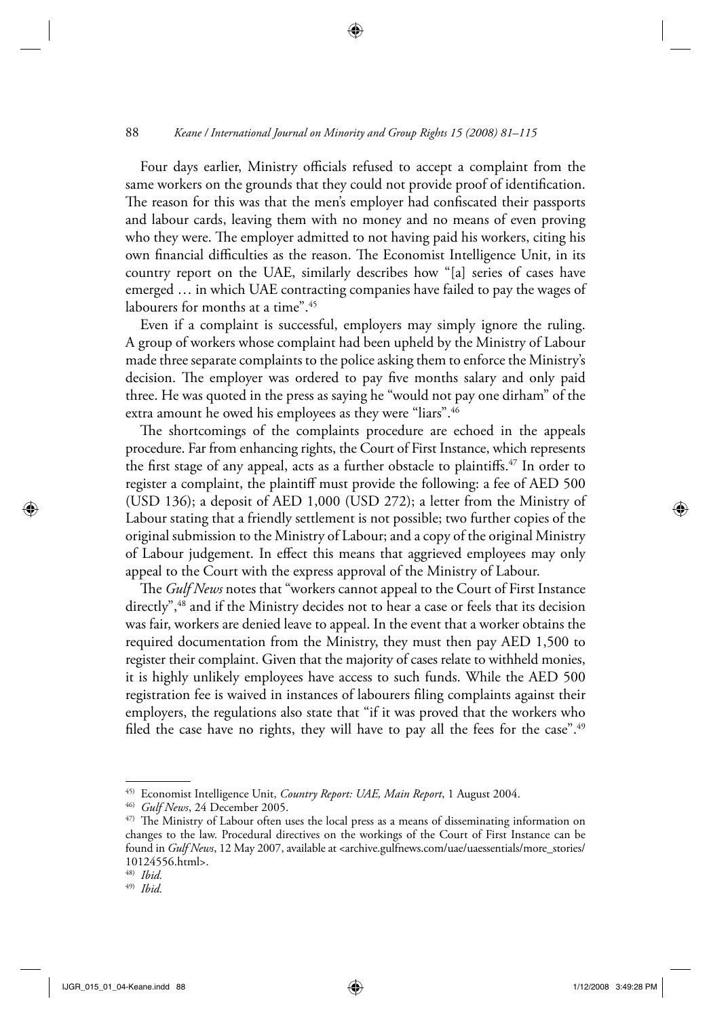Four days earlier, Ministry officials refused to accept a complaint from the same workers on the grounds that they could not provide proof of identification. The reason for this was that the men's employer had confiscated their passports and labour cards, leaving them with no money and no means of even proving who they were. The employer admitted to not having paid his workers, citing his own financial difficulties as the reason. The Economist Intelligence Unit, in its country report on the UAE, similarly describes how "[a] series of cases have emerged … in which UAE contracting companies have failed to pay the wages of labourers for months at a time".<sup>45</sup>

⊕

 Even if a complaint is successful, employers may simply ignore the ruling. A group of workers whose complaint had been upheld by the Ministry of Labour made three separate complaints to the police asking them to enforce the Ministry's decision. The employer was ordered to pay five months salary and only paid three. He was quoted in the press as saying he "would not pay one dirham" of the extra amount he owed his employees as they were "liars". 46

The shortcomings of the complaints procedure are echoed in the appeals procedure. Far from enhancing rights, the Court of First Instance, which represents the first stage of any appeal, acts as a further obstacle to plaintiffs.<sup> $47$ </sup> In order to register a complaint, the plaintiff must provide the following: a fee of AED 500 (USD 136); a deposit of AED 1,000 (USD 272); a letter from the Ministry of Labour stating that a friendly settlement is not possible; two further copies of the original submission to the Ministry of Labour; and a copy of the original Ministry of Labour judgement. In effect this means that aggrieved employees may only appeal to the Court with the express approval of the Ministry of Labour.

The *Gulf News* notes that "workers cannot appeal to the Court of First Instance directly", 48 and if the Ministry decides not to hear a case or feels that its decision was fair, workers are denied leave to appeal. In the event that a worker obtains the required documentation from the Ministry, they must then pay AED 1,500 to register their complaint. Given that the majority of cases relate to withheld monies, it is highly unlikely employees have access to such funds. While the AED 500 registration fee is waived in instances of labourers filing complaints against their employers, the regulations also state that "if it was proved that the workers who filed the case have no rights, they will have to pay all the fees for the case".<sup>49</sup>

⊕

<sup>&</sup>lt;sup>45)</sup> Economist Intelligence Unit, *Country Report: UAE, Main Report*, 1 August 2004.

 <sup>46)</sup> *Gulf News* , 24 December 2005.

 $47$ ) The Ministry of Labour often uses the local press as a means of disseminating information on changes to the law. Procedural directives on the workings of the Court of First Instance can be found in *Gulf News* , 12 May 2007, available at <archive.gulfnews.com/uae/uaessentials/more\_stories/ 10124556.html>.

 <sup>48)</sup> *Ibid.*

 <sup>49)</sup> *Ibid.*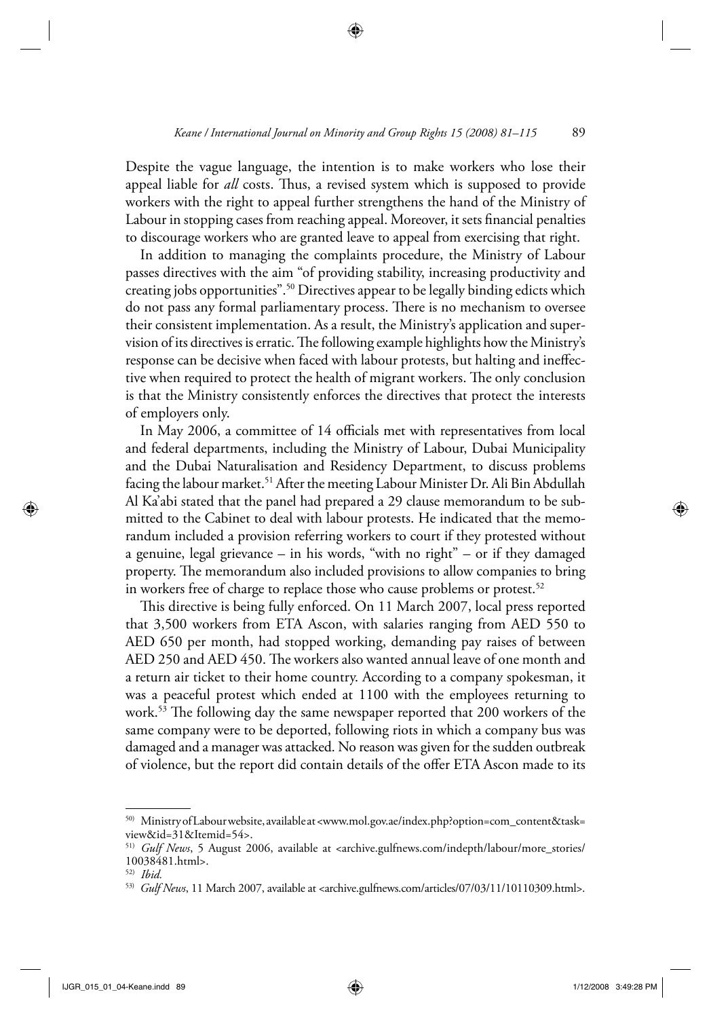Despite the vague language, the intention is to make workers who lose their appeal liable for *all* costs. Thus, a revised system which is supposed to provide workers with the right to appeal further strengthens the hand of the Ministry of Labour in stopping cases from reaching appeal. Moreover, it sets financial penalties to discourage workers who are granted leave to appeal from exercising that right.

⊕

 In addition to managing the complaints procedure, the Ministry of Labour passes directives with the aim "of providing stability, increasing productivity and creating jobs opportunities".<sup>50</sup> Directives appear to be legally binding edicts which do not pass any formal parliamentary process. There is no mechanism to oversee their consistent implementation. As a result, the Ministry's application and supervision of its directives is erratic. The following example highlights how the Ministry's response can be decisive when faced with labour protests, but halting and ineffective when required to protect the health of migrant workers. The only conclusion is that the Ministry consistently enforces the directives that protect the interests of employers only.

In May 2006, a committee of 14 officials met with representatives from local and federal departments, including the Ministry of Labour, Dubai Municipality and the Dubai Naturalisation and Residency Department, to discuss problems facing the labour market. 51 After the meeting Labour Minister Dr. Ali Bin Abdullah Al Ka'abi stated that the panel had prepared a 29 clause memorandum to be submitted to the Cabinet to deal with labour protests. He indicated that the memorandum included a provision referring workers to court if they protested without a genuine, legal grievance – in his words, "with no right" – or if they damaged property. The memorandum also included provisions to allow companies to bring in workers free of charge to replace those who cause problems or protest. 52

This directive is being fully enforced. On 11 March 2007, local press reported that 3,500 workers from ETA Ascon, with salaries ranging from AED 550 to AED 650 per month, had stopped working, demanding pay raises of between AED 250 and AED 450. The workers also wanted annual leave of one month and a return air ticket to their home country. According to a company spokesman, it was a peaceful protest which ended at 1100 with the employees returning to work.<sup>53</sup> The following day the same newspaper reported that 200 workers of the same company were to be deported, following riots in which a company bus was damaged and a manager was attacked. No reason was given for the sudden outbreak of violence, but the report did contain details of the offer ETA Ascon made to its

◈

IJGR\_015\_01\_04-Keane.indd 89 JGR\_015\_01\_04-Keane.indd 1/12/2008 3:49:28 PM /12/2008

 <sup>50)</sup> Ministry of Labour website, available at <www.mol.gov.ae/index.php?option=com\_content&task= view&id=31&Itemid=54>.

<sup>&</sup>lt;sup>51)</sup> *Gulf News*, 5 August 2006, available at <archive.gulfnews.com/indepth/labour/more\_stories/ 10038481.html>.

 <sup>52)</sup> *Ibid.*

 <sup>53)</sup> *Gulf News* , 11 March 2007, available at <archive.gulfnews.com/articles/07/03/11/10110309.html>.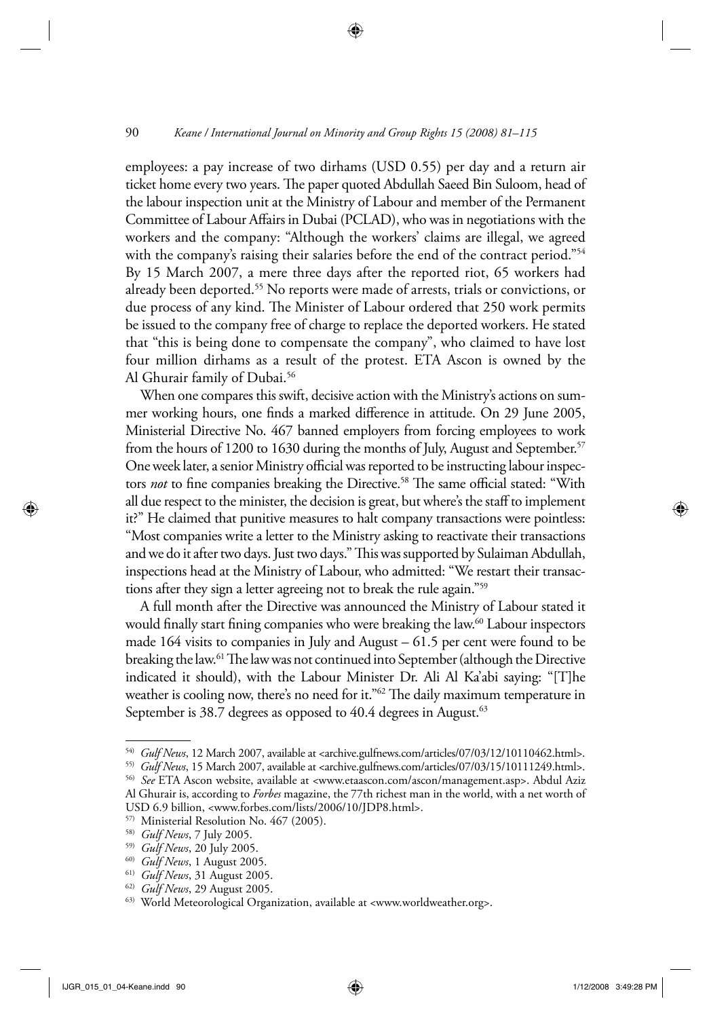⊕

employees: a pay increase of two dirhams (USD 0.55) per day and a return air ticket home every two years. The paper quoted Abdullah Saeed Bin Suloom, head of the labour inspection unit at the Ministry of Labour and member of the Permanent Committee of Labour Affairs in Dubai (PCLAD), who was in negotiations with the workers and the company: "Although the workers' claims are illegal, we agreed with the company's raising their salaries before the end of the contract period."<sup>54</sup> By 15 March 2007, a mere three days after the reported riot, 65 workers had already been deported. 55 No reports were made of arrests, trials or convictions, or due process of any kind. The Minister of Labour ordered that 250 work permits be issued to the company free of charge to replace the deported workers. He stated that "this is being done to compensate the company", who claimed to have lost four million dirhams as a result of the protest. ETA Ascon is owned by the Al Ghurair family of Dubai.<sup>56</sup>

 When one compares this swift, decisive action with the Ministry's actions on summer working hours, one finds a marked difference in attitude. On 29 June 2005, Ministerial Directive No. 467 banned employers from forcing employees to work from the hours of 1200 to 1630 during the months of July, August and September.<sup>57</sup> One week later, a senior Ministry official was reported to be instructing labour inspectors *not* to fine companies breaking the Directive.<sup>58</sup> The same official stated: "With all due respect to the minister, the decision is great, but where's the staff to implement it?" He claimed that punitive measures to halt company transactions were pointless: "Most companies write a letter to the Ministry asking to reactivate their transactions and we do it after two days. Just two days." This was supported by Sulaiman Abdullah, inspections head at the Ministry of Labour, who admitted: "We restart their transactions after they sign a letter agreeing not to break the rule again."<sup>59</sup>

 A full month after the Directive was announced the Ministry of Labour stated it would finally start fining companies who were breaking the law.<sup>60</sup> Labour inspectors made 164 visits to companies in July and August – 61.5 per cent were found to be breaking the law.<sup>61</sup> The law was not continued into September (although the Directive indicated it should), with the Labour Minister Dr. Ali Al Ka'abi saying: "[T]he weather is cooling now, there's no need for it."<sup>62</sup> The daily maximum temperature in September is 38.7 degrees as opposed to 40.4 degrees in August.<sup>63</sup>

USD 6.9 billion, <www.forbes.com/lists/2006/10/JDP8.html>.

⊕

 <sup>54)</sup> *Gulf News* , 12 March 2007, available at <archive.gulfnews.com/articles/07/03/12/10110462.html>.

 <sup>55)</sup> *Gulf News* , 15 March 2007, available at <archive.gulfnews.com/articles/07/03/15/10111249.html>.

 <sup>56)</sup> *See* ETA Ascon website, available at <www.etaascon.com/ascon/management.asp>. Abdul Aziz Al Ghurair is, according to *Forbes* magazine, the 77th richest man in the world, with a net worth of

 <sup>57)</sup> Ministerial Resolution No. 467 (2005).

 <sup>58)</sup> *Gulf News* , 7 July 2005.

 <sup>59)</sup> *Gulf News* , 20 July 2005.

 <sup>60)</sup> *Gulf News* , 1 August 2005.

 <sup>61)</sup> *Gulf News* , 31 August 2005.

 <sup>62)</sup> *Gulf News* , 29 August 2005.

 <sup>63)</sup> World Meteorological Organization, available at <www.worldweather.org>.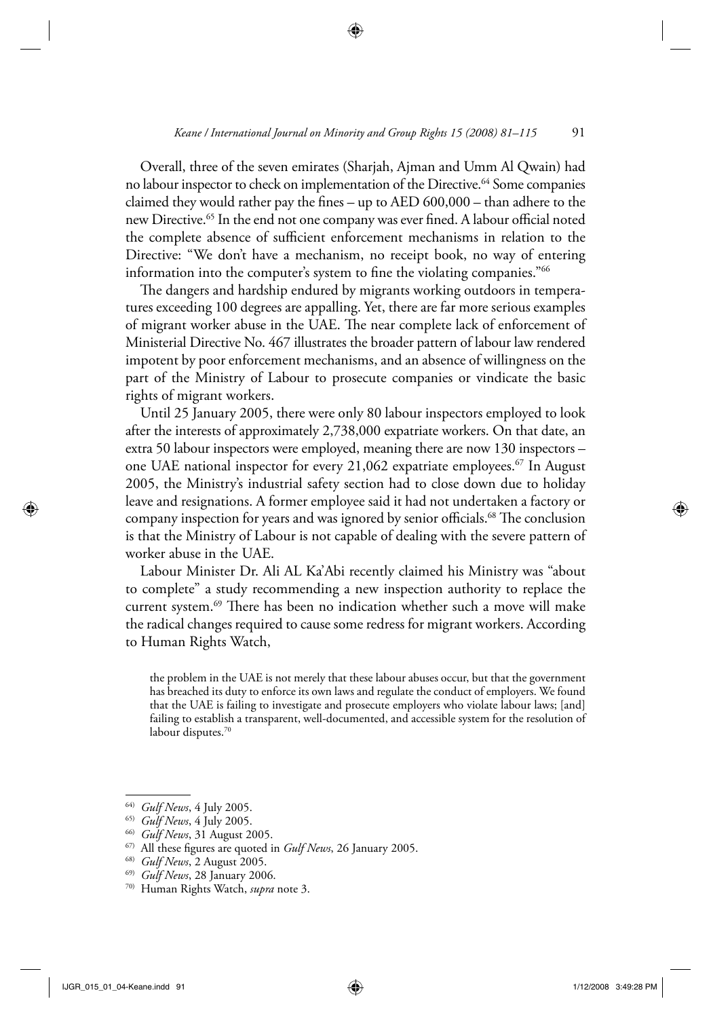Overall, three of the seven emirates (Sharjah, Ajman and Umm Al Qwain) had no labour inspector to check on implementation of the Directive.<sup>64</sup> Some companies claimed they would rather pay the fines – up to  $AED\ 600,000$  – than adhere to the new Directive.<sup>65</sup> In the end not one company was ever fined. A labour official noted the complete absence of sufficient enforcement mechanisms in relation to the Directive: "We don't have a mechanism, no receipt book, no way of entering information into the computer's system to fine the violating companies."<sup>66</sup>

⊕

The dangers and hardship endured by migrants working outdoors in temperatures exceeding 100 degrees are appalling. Yet, there are far more serious examples of migrant worker abuse in the UAE. The near complete lack of enforcement of Ministerial Directive No. 467 illustrates the broader pattern of labour law rendered impotent by poor enforcement mechanisms, and an absence of willingness on the part of the Ministry of Labour to prosecute companies or vindicate the basic rights of migrant workers.

 Until 25 January 2005, there were only 80 labour inspectors employed to look after the interests of approximately 2,738,000 expatriate workers. On that date, an extra 50 labour inspectors were employed, meaning there are now 130 inspectors – one UAE national inspector for every 21,062 expatriate employees.<sup>67</sup> In August 2005, the Ministry's industrial safety section had to close down due to holiday leave and resignations. A former employee said it had not undertaken a factory or company inspection for years and was ignored by senior officials.<sup>68</sup> The conclusion is that the Ministry of Labour is not capable of dealing with the severe pattern of worker abuse in the UAE.

 Labour Minister Dr. Ali AL Ka'Abi recently claimed his Ministry was "about to complete" a study recommending a new inspection authority to replace the current system.<sup>69</sup> There has been no indication whether such a move will make the radical changes required to cause some redress for migrant workers. According to Human Rights Watch,

 the problem in the UAE is not merely that these labour abuses occur, but that the government has breached its duty to enforce its own laws and regulate the conduct of employers. We found that the UAE is failing to investigate and prosecute employers who violate labour laws; [and] failing to establish a transparent, well-documented, and accessible system for the resolution of labour disputes.<sup>70</sup>

⊕

 <sup>64)</sup> *Gulf News* , 4 July 2005.

 <sup>65)</sup> *Gulf News* , 4 July 2005.

 <sup>66)</sup> *Gulf News* , 31 August 2005.

<sup>&</sup>lt;sup>67)</sup> All these figures are quoted in *Gulf News*, 26 January 2005.

 <sup>68)</sup> *Gulf News* , 2 August 2005.

 <sup>69)</sup> *Gulf News* , 28 January 2006.

 <sup>70)</sup> Human Rights Watch, *supra* note 3.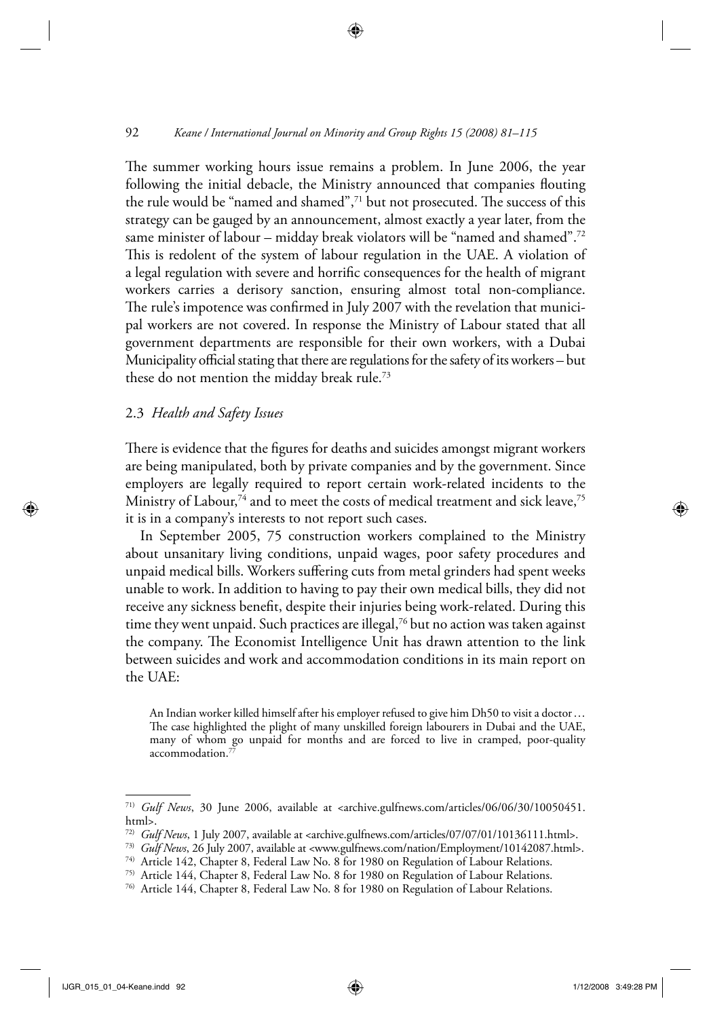⊕

The summer working hours issue remains a problem. In June 2006, the year following the initial debacle, the Ministry announced that companies flouting the rule would be "named and shamed",<sup>71</sup> but not prosecuted. The success of this strategy can be gauged by an announcement, almost exactly a year later, from the same minister of labour – midday break violators will be "named and shamed".<sup>72</sup> This is redolent of the system of labour regulation in the UAE. A violation of a legal regulation with severe and horrific consequences for the health of migrant workers carries a derisory sanction, ensuring almost total non-compliance. The rule's impotence was confirmed in July 2007 with the revelation that municipal workers are not covered. In response the Ministry of Labour stated that all government departments are responsible for their own workers, with a Dubai Municipality official stating that there are regulations for the safety of its workers - but these do not mention the midday break rule.<sup>73</sup>

#### 2.3 *Health and Safety Issues*

There is evidence that the figures for deaths and suicides amongst migrant workers are being manipulated, both by private companies and by the government. Since employers are legally required to report certain work-related incidents to the Ministry of Labour,<sup>74</sup> and to meet the costs of medical treatment and sick leave,<sup>75</sup> it is in a company's interests to not report such cases.

 In September 2005, 75 construction workers complained to the Ministry about unsanitary living conditions, unpaid wages, poor safety procedures and unpaid medical bills. Workers suffering cuts from metal grinders had spent weeks unable to work. In addition to having to pay their own medical bills, they did not receive any sickness benefit, despite their injuries being work-related. During this time they went unpaid. Such practices are illegal,<sup>76</sup> but no action was taken against the company. The Economist Intelligence Unit has drawn attention to the link between suicides and work and accommodation conditions in its main report on the UAE:

 An Indian worker killed himself after his employer refused to give him Dh50 to visit a doctor … The case highlighted the plight of many unskilled foreign labourers in Dubai and the UAE, many of whom go unpaid for months and are forced to live in cramped, poor-quality accommodation.

IJGR\_015\_01\_04-Keane.indd 92 JGR\_015\_01\_04-Keane.indd 92 JGR\_015\_01\_04-Keane.indd 1/12/2008 3:49:28 PM /

⊕

 <sup>71)</sup> *Gulf News* , 30 June 2006, available at <archive.gulfnews.com/articles/06/06/30/10050451. html>.

 <sup>72)</sup> *Gulf News* , 1 July 2007, available at <archive.gulfnews.com/articles/07/07/01/10136111.html>.

 <sup>73)</sup> *Gulf News* , 26 July 2007, available at <www.gulfnews.com/nation/Employment/10142087.html>.

 <sup>74)</sup> Article 142, Chapter 8, Federal Law No. 8 for 1980 on Regulation of Labour Relations.

 <sup>75)</sup> Article 144, Chapter 8, Federal Law No. 8 for 1980 on Regulation of Labour Relations.

 <sup>76)</sup> Article 144, Chapter 8, Federal Law No. 8 for 1980 on Regulation of Labour Relations.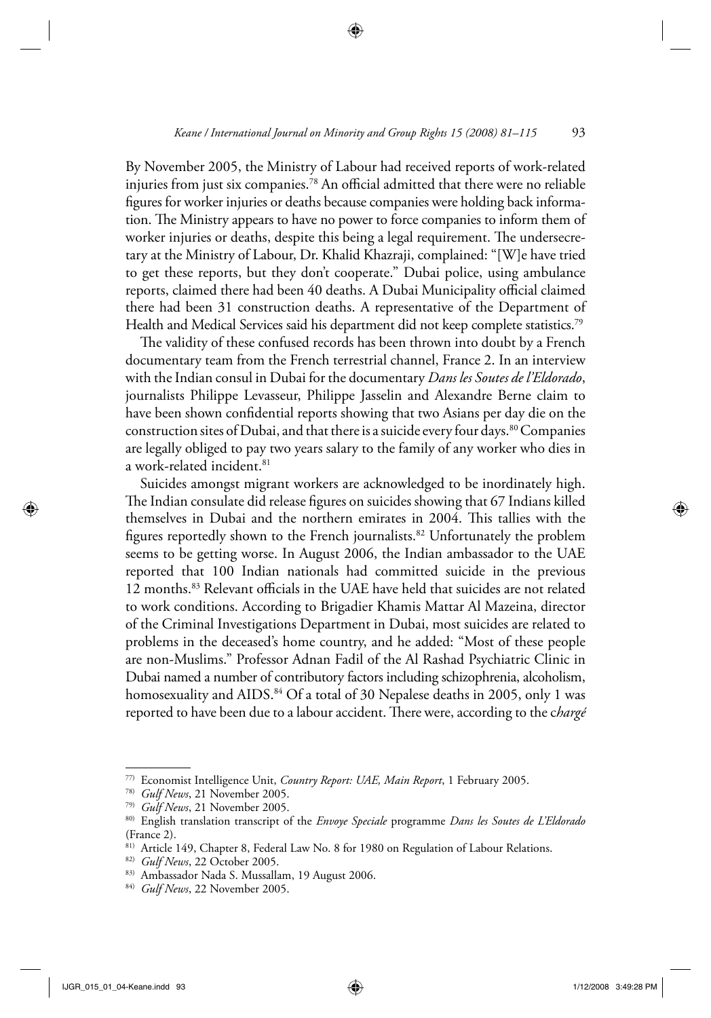⊕

 By November 2005, the Ministry of Labour had received reports of work-related injuries from just six companies.<sup>78</sup> An official admitted that there were no reliable figures for worker injuries or deaths because companies were holding back information. The Ministry appears to have no power to force companies to inform them of worker injuries or deaths, despite this being a legal requirement. The undersecretary at the Ministry of Labour, Dr. Khalid Khazraji, complained: "[W]e have tried to get these reports, but they don't cooperate." Dubai police, using ambulance reports, claimed there had been 40 deaths. A Dubai Municipality official claimed there had been 31 construction deaths. A representative of the Department of Health and Medical Services said his department did not keep complete statistics. 79

The validity of these confused records has been thrown into doubt by a French documentary team from the French terrestrial channel, France 2. In an interview with the Indian consul in Dubai for the documentary *Dans les Soutes de l'Eldorado* , journalists Philippe Levasseur, Philippe Jasselin and Alexandre Berne claim to have been shown confidential reports showing that two Asians per day die on the construction sites of Dubai, and that there is a suicide every four days. $^{80}$  Companies are legally obliged to pay two years salary to the family of any worker who dies in a work-related incident.<sup>81</sup>

 Suicides amongst migrant workers are acknowledged to be inordinately high. The Indian consulate did release figures on suicides showing that 67 Indians killed themselves in Dubai and the northern emirates in 2004. This tallies with the figures reportedly shown to the French journalists.<sup>82</sup> Unfortunately the problem seems to be getting worse. In August 2006, the Indian ambassador to the UAE reported that 100 Indian nationals had committed suicide in the previous 12 months.<sup>83</sup> Relevant officials in the UAE have held that suicides are not related to work conditions. According to Brigadier Khamis Mattar Al Mazeina, director of the Criminal Investigations Department in Dubai, most suicides are related to problems in the deceased's home country, and he added: "Most of these people are non-Muslims." Professor Adnan Fadil of the Al Rashad Psychiatric Clinic in Dubai named a number of contributory factors including schizophrenia, alcoholism, homosexuality and AIDS.<sup>84</sup> Of a total of 30 Nepalese deaths in 2005, only 1 was reported to have been due to a labour accident. There were, according to the chargé

◈

 <sup>77)</sup> Economist Intelligence Unit, *Country Report: UAE, Main Report* , 1 February 2005.

 <sup>78)</sup> *Gulf News* , 21 November 2005.

 <sup>79)</sup> *Gulf News* , 21 November 2005.

 <sup>80)</sup> English translation transcript of the *Envoye Speciale* programme *Dans les Soutes de L'Eldorado* (France 2).

<sup>81)</sup> Article 149, Chapter 8, Federal Law No. 8 for 1980 on Regulation of Labour Relations.

 <sup>82)</sup> *Gulf News* , 22 October 2005.

 <sup>83)</sup> Ambassador Nada S. Mussallam, 19 August 2006.

 <sup>84)</sup> *Gulf News* , 22 November 2005.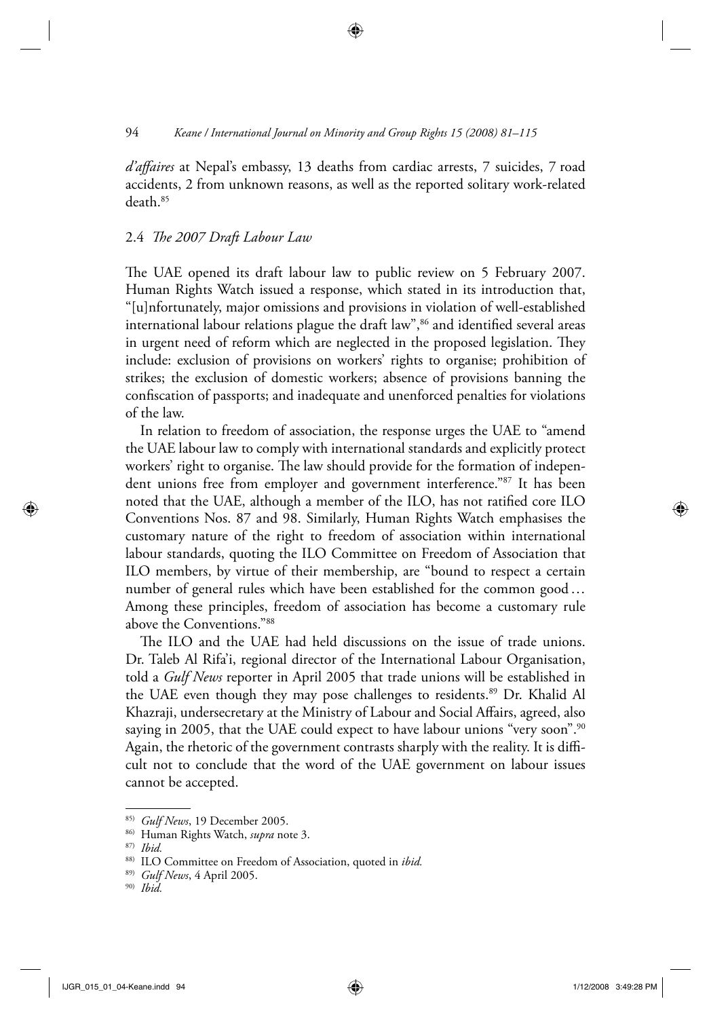d'affaires at Nepal's embassy, 13 deaths from cardiac arrests, 7 suicides, 7 road accidents, 2 from unknown reasons, as well as the reported solitary work-related death. 85

⊕

#### 2.4 The 2007 Draft Labour Law

The UAE opened its draft labour law to public review on 5 February 2007. Human Rights Watch issued a response, which stated in its introduction that, "[u]nfortunately, major omissions and provisions in violation of well-established international labour relations plague the draft law",<sup>86</sup> and identified several areas in urgent need of reform which are neglected in the proposed legislation. They include: exclusion of provisions on workers' rights to organise; prohibition of strikes; the exclusion of domestic workers; absence of provisions banning the confiscation of passports; and inadequate and unenforced penalties for violations of the law.

 In relation to freedom of association, the response urges the UAE to "amend the UAE labour law to comply with international standards and explicitly protect workers' right to organise. The law should provide for the formation of independent unions free from employer and government interference."87 It has been noted that the UAE, although a member of the ILO, has not ratified core ILO Conventions Nos. 87 and 98. Similarly, Human Rights Watch emphasises the customary nature of the right to freedom of association within international labour standards, quoting the ILO Committee on Freedom of Association that ILO members, by virtue of their membership, are "bound to respect a certain number of general rules which have been established for the common good … Among these principles, freedom of association has become a customary rule above the Conventions."<sup>88</sup>

The ILO and the UAE had held discussions on the issue of trade unions. Dr. Taleb Al Rifa'i, regional director of the International Labour Organisation, told a *Gulf News* reporter in April 2005 that trade unions will be established in the UAE even though they may pose challenges to residents.<sup>89</sup> Dr. Khalid Al Khazraji, undersecretary at the Ministry of Labour and Social Affairs, agreed, also saying in 2005, that the UAE could expect to have labour unions "very soon".<sup>90</sup> Again, the rhetoric of the government contrasts sharply with the reality. It is difficult not to conclude that the word of the UAE government on labour issues cannot be accepted.

◈

 <sup>85)</sup> *Gulf News* , 19 December 2005.

 <sup>86)</sup> Human Rights Watch, *supra* note 3.

 <sup>87)</sup> *Ibid.*

 <sup>88)</sup> ILO Committee on Freedom of Association, quoted in *ibid.*

 <sup>89)</sup> *Gulf News* , 4 April 2005.

 <sup>90)</sup> *Ibid.*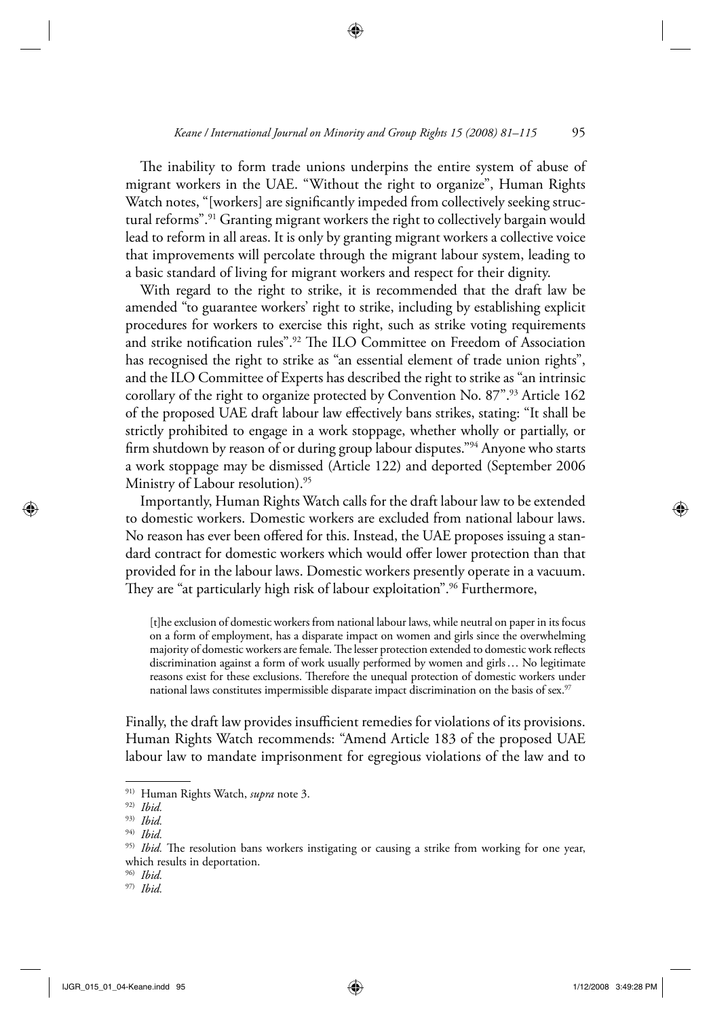The inability to form trade unions underpins the entire system of abuse of migrant workers in the UAE. "Without the right to organize", Human Rights Watch notes, "[workers] are significantly impeded from collectively seeking structural reforms". 91 Granting migrant workers the right to collectively bargain would lead to reform in all areas. It is only by granting migrant workers a collective voice that improvements will percolate through the migrant labour system, leading to a basic standard of living for migrant workers and respect for their dignity.

⊕

 With regard to the right to strike, it is recommended that the draft law be amended "to guarantee workers' right to strike, including by establishing explicit procedures for workers to exercise this right, such as strike voting requirements and strike notification rules".<sup>92</sup> The ILO Committee on Freedom of Association has recognised the right to strike as "an essential element of trade union rights", and the ILO Committee of Experts has described the right to strike as "an intrinsic corollary of the right to organize protected by Convention No. 87".<sup>93</sup> Article 162 of the proposed UAE draft labour law effectively bans strikes, stating: "It shall be strictly prohibited to engage in a work stoppage, whether wholly or partially, or firm shutdown by reason of or during group labour disputes."<sup>94</sup> Anyone who starts a work stoppage may be dismissed (Article 122) and deported (September 2006 Ministry of Labour resolution).<sup>95</sup>

 Importantly, Human Rights Watch calls for the draft labour law to be extended to domestic workers. Domestic workers are excluded from national labour laws. No reason has ever been offered for this. Instead, the UAE proposes issuing a standard contract for domestic workers which would offer lower protection than that provided for in the labour laws. Domestic workers presently operate in a vacuum. They are "at particularly high risk of labour exploitation".<sup>96</sup> Furthermore,

 [t]he exclusion of domestic workers from national labour laws, while neutral on paper in its focus on a form of employment, has a disparate impact on women and girls since the overwhelming majority of domestic workers are female. The lesser protection extended to domestic work reflects discrimination against a form of work usually performed by women and girls … No legitimate reasons exist for these exclusions. Therefore the unequal protection of domestic workers under national laws constitutes impermissible disparate impact discrimination on the basis of sex.<sup>97</sup>

Finally, the draft law provides insufficient remedies for violations of its provisions. Human Rights Watch recommends: "Amend Article 183 of the proposed UAE labour law to mandate imprisonment for egregious violations of the law and to

◈

 <sup>91)</sup> Human Rights Watch, *supra* note 3.

 <sup>92)</sup> *Ibid.*

 <sup>93)</sup> *Ibid.*

 <sup>94)</sup> *Ibid.*

<sup>&</sup>lt;sup>95)</sup> *Ibid*. The resolution bans workers instigating or causing a strike from working for one year, which results in deportation.

 <sup>96)</sup> *Ibid.*

 <sup>97)</sup> *Ibid.*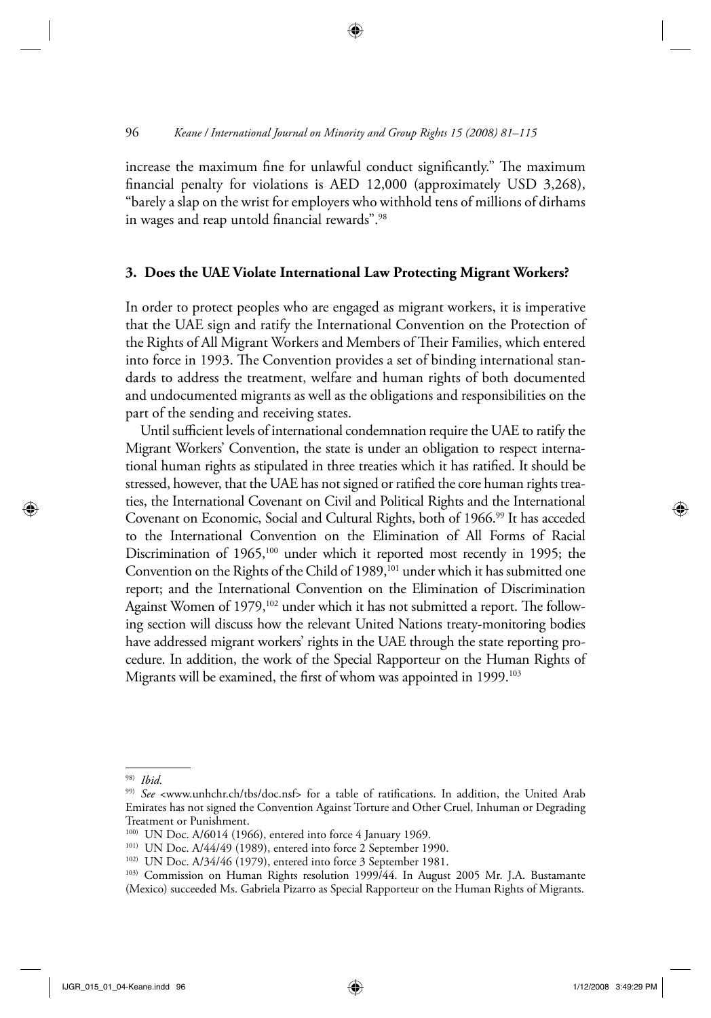increase the maximum fine for unlawful conduct significantly." The maximum financial penalty for violations is AED 12,000 (approximately USD 3,268), "barely a slap on the wrist for employers who withhold tens of millions of dirhams in wages and reap untold financial rewards".<sup>98</sup>

⊕

## **3. Does the UAE Violate International Law Protecting Migrant Workers?**

 In order to protect peoples who are engaged as migrant workers, it is imperative that the UAE sign and ratify the International Convention on the Protection of the Rights of All Migrant Workers and Members of Their Families, which entered into force in 1993. The Convention provides a set of binding international standards to address the treatment, welfare and human rights of both documented and undocumented migrants as well as the obligations and responsibilities on the part of the sending and receiving states.

Until sufficient levels of international condemnation require the UAE to ratify the Migrant Workers' Convention, the state is under an obligation to respect international human rights as stipulated in three treaties which it has ratified. It should be stressed, however, that the UAE has not signed or ratified the core human rights treaties, the International Covenant on Civil and Political Rights and the International Covenant on Economic, Social and Cultural Rights, both of 1966.<sup>99</sup> It has acceded to the International Convention on the Elimination of All Forms of Racial Discrimination of 1965,<sup>100</sup> under which it reported most recently in 1995; the Convention on the Rights of the Child of 1989,<sup>101</sup> under which it has submitted one report; and the International Convention on the Elimination of Discrimination Against Women of 1979,<sup>102</sup> under which it has not submitted a report. The following section will discuss how the relevant United Nations treaty-monitoring bodies have addressed migrant workers' rights in the UAE through the state reporting procedure. In addition, the work of the Special Rapporteur on the Human Rights of Migrants will be examined, the first of whom was appointed in 1999.<sup>103</sup>

◈

IJGR\_015\_01\_04-Keane.indd 96 JGR\_015\_01\_04-Keane.indd 96 JGR\_015\_01\_04-Keane.indd 96 JGR\_015\_01\_04-Keane.indd 96

 <sup>98)</sup> *Ibid.*

<sup>&</sup>lt;sup>99)</sup> See <www.unhchr.ch/tbs/doc.nsf> for a table of ratifications. In addition, the United Arab Emirates has not signed the Convention Against Torture and Other Cruel, Inhuman or Degrading Treatment or Punishment.

<sup>&</sup>lt;sup>100)</sup> UN Doc. A/6014 (1966), entered into force 4 January 1969.

 <sup>101)</sup> UN Doc. A/44/49 (1989), entered into force 2 September 1990.

 <sup>102)</sup> UN Doc. A/34/46 (1979), entered into force 3 September 1981.

 <sup>103)</sup> Commission on Human Rights resolution 1999/44. In August 2005 Mr. J.A. Bustamante (Mexico) succeeded Ms. Gabriela Pizarro as Special Rapporteur on the Human Rights of Migrants.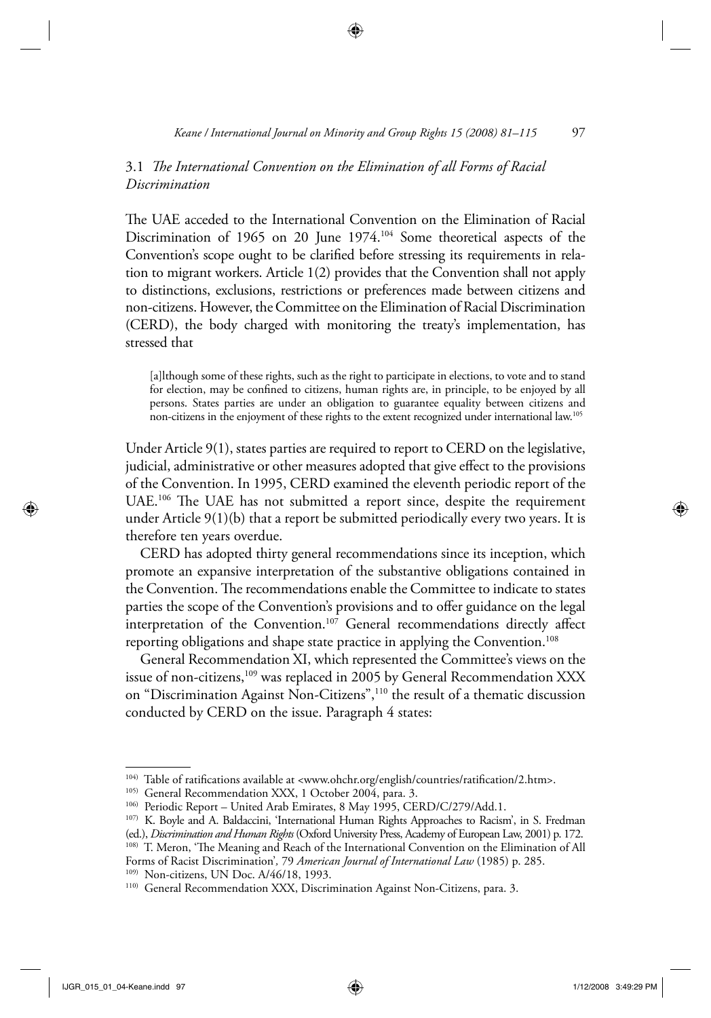⊕

# 3.1 *Th e International Convention on the Elimination of all Forms of Racial Discrimination*

The UAE acceded to the International Convention on the Elimination of Racial Discrimination of 1965 on 20 June 1974.<sup>104</sup> Some theoretical aspects of the Convention's scope ought to be clarified before stressing its requirements in relation to migrant workers. Article 1(2) provides that the Convention shall not apply to distinctions, exclusions, restrictions or preferences made between citizens and non-citizens. However, the Committee on the Elimination of Racial Discrimination (CERD), the body charged with monitoring the treaty's implementation, has stressed that

 [a]lthough some of these rights, such as the right to participate in elections, to vote and to stand for election, may be confined to citizens, human rights are, in principle, to be enjoyed by all persons. States parties are under an obligation to guarantee equality between citizens and non-citizens in the enjoyment of these rights to the extent recognized under international law. 105

 Under Article 9(1), states parties are required to report to CERD on the legislative, judicial, administrative or other measures adopted that give effect to the provisions of the Convention. In 1995, CERD examined the eleventh periodic report of the UAE.<sup>106</sup> The UAE has not submitted a report since, despite the requirement under Article 9(1)(b) that a report be submitted periodically every two years. It is therefore ten years overdue.

 CERD has adopted thirty general recommendations since its inception, which promote an expansive interpretation of the substantive obligations contained in the Convention. The recommendations enable the Committee to indicate to states parties the scope of the Convention's provisions and to offer guidance on the legal interpretation of the Convention.<sup>107</sup> General recommendations directly affect reporting obligations and shape state practice in applying the Convention. 108

 General Recommendation XI, which represented the Committee's views on the issue of non-citizens, 109 was replaced in 2005 by General Recommendation XXX on "Discrimination Against Non-Citizens", 110 the result of a thematic discussion conducted by CERD on the issue. Paragraph 4 states:

IJGR\_015\_01\_04-Keane.indd 97 JGR\_015\_01\_04-Keane.indd 1/12/2008 3:49:29 PM /12/2008

⊕

 $104)$  Table of ratifications available at <www.ohchr.org/english/countries/ratification/2.htm>.

 <sup>105)</sup> General Recommendation XXX, 1 October 2004, para. 3.

<sup>106)</sup> Periodic Report - United Arab Emirates, 8 May 1995, CERD/C/279/Add.1.

 <sup>107)</sup> K. Boyle and A. Baldaccini, 'International Human Rights Approaches to Racism', in S. Fredman (ed.), *Discrimination and Human Rights* (Oxford University Press, Academy of European Law, 2001) p. 172.

<sup>108)</sup> T. Meron, 'The Meaning and Reach of the International Convention on the Elimination of All Forms of Racist Discrimination', 79 *American Journal of International Law* (1985) p. 285. 109) Non-citizens, UN Doc. A/46/18, 1993.

<sup>&</sup>lt;sup>110)</sup> General Recommendation XXX, Discrimination Against Non-Citizens, para. 3.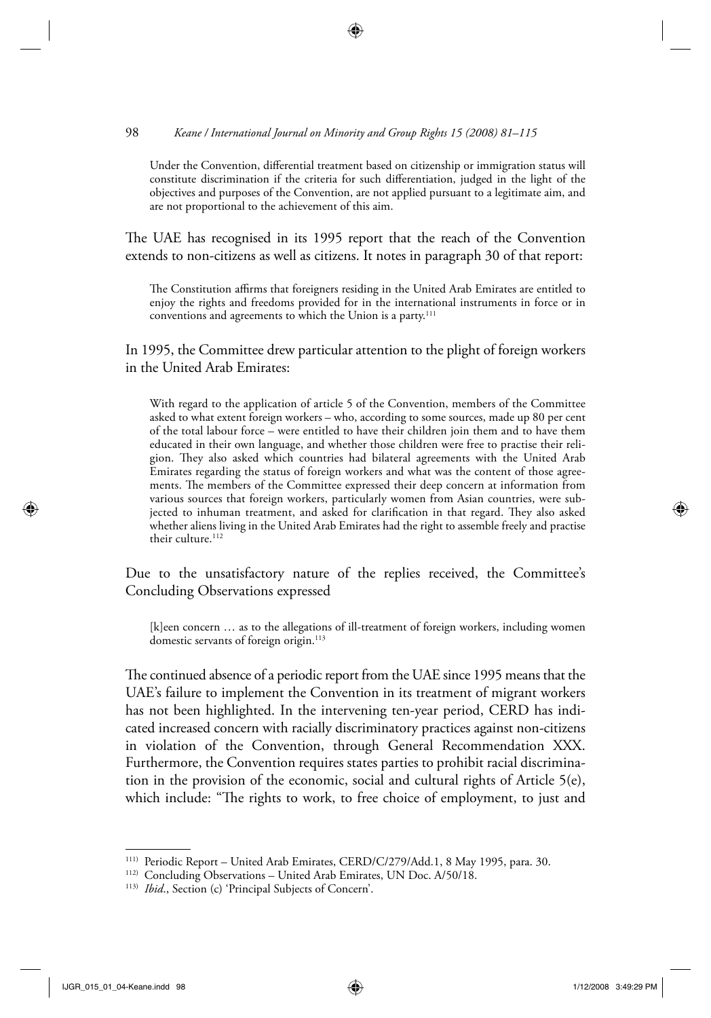Under the Convention, differential treatment based on citizenship or immigration status will constitute discrimination if the criteria for such differentiation, judged in the light of the objectives and purposes of the Convention, are not applied pursuant to a legitimate aim, and are not proportional to the achievement of this aim.

The UAE has recognised in its 1995 report that the reach of the Convention extends to non-citizens as well as citizens. It notes in paragraph 30 of that report:

The Constitution affirms that foreigners residing in the United Arab Emirates are entitled to enjoy the rights and freedoms provided for in the international instruments in force or in conventions and agreements to which the Union is a party.<sup>111</sup>

 In 1995, the Committee drew particular attention to the plight of foreign workers in the United Arab Emirates:

 With regard to the application of article 5 of the Convention, members of the Committee asked to what extent foreign workers – who, according to some sources, made up 80 per cent of the total labour force – were entitled to have their children join them and to have them educated in their own language, and whether those children were free to practise their religion. They also asked which countries had bilateral agreements with the United Arab Emirates regarding the status of foreign workers and what was the content of those agreements. The members of the Committee expressed their deep concern at information from various sources that foreign workers, particularly women from Asian countries, were subjected to inhuman treatment, and asked for clarification in that regard. They also asked whether aliens living in the United Arab Emirates had the right to assemble freely and practise their culture.<sup>112</sup>

 Due to the unsatisfactory nature of the replies received, the Committee's Concluding Observations expressed

 [k]een concern … as to the allegations of ill-treatment of foreign workers, including women domestic servants of foreign origin.<sup>113</sup>

The continued absence of a periodic report from the UAE since 1995 means that the UAE's failure to implement the Convention in its treatment of migrant workers has not been highlighted. In the intervening ten-year period, CERD has indicated increased concern with racially discriminatory practices against non-citizens in violation of the Convention, through General Recommendation XXX. Furthermore, the Convention requires states parties to prohibit racial discrimination in the provision of the economic, social and cultural rights of Article 5(e), which include: "The rights to work, to free choice of employment, to just and

IJGR\_015\_01\_04-Keane.indd 98 **JGR\_015\_01\_04-Keane.indd 98** JGR\_015\_01\_04-Keane.indd 98 JGR\_015\_01\_04-Keane.indd 98

 <sup>111)</sup> Periodic Report – United Arab Emirates, CERD/C/279/Add.1, 8 May 1995, para. 30.

 <sup>112)</sup> Concluding Observations – United Arab Emirates, UN Doc. A/50/18.

<sup>&</sup>lt;sup>113)</sup> *Ibid.*, Section (c) 'Principal Subjects of Concern'.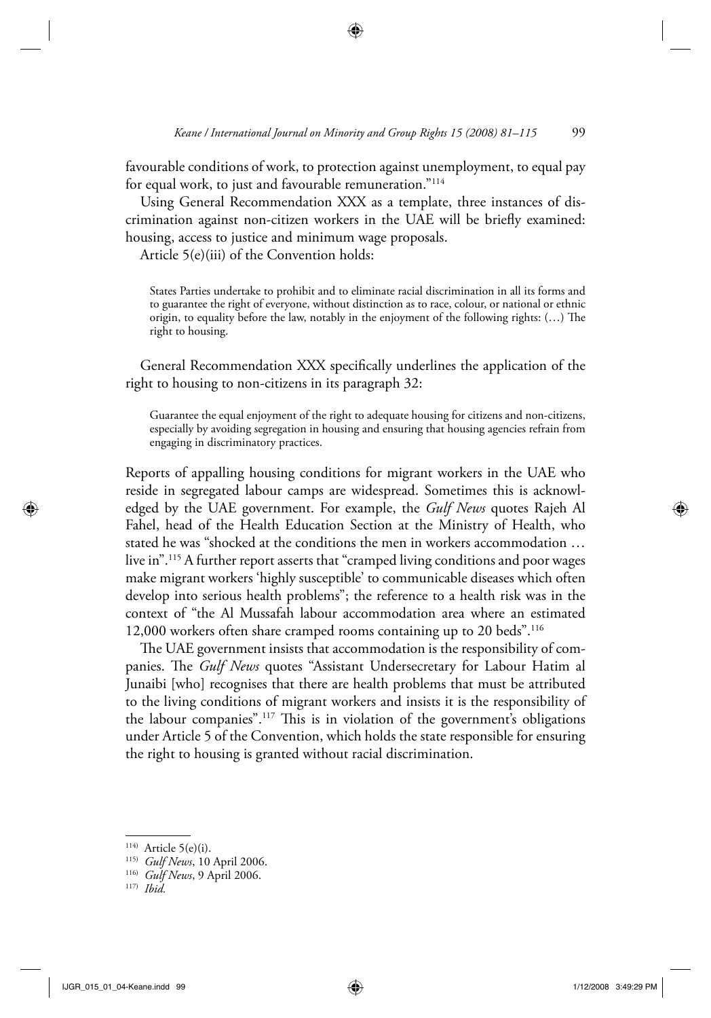favourable conditions of work, to protection against unemployment, to equal pay for equal work, to just and favourable remuneration."<sup>114</sup>

⊕

 Using General Recommendation XXX as a template, three instances of discrimination against non-citizen workers in the UAE will be briefly examined: housing, access to justice and minimum wage proposals.

Article 5(e)(iii) of the Convention holds:

 States Parties undertake to prohibit and to eliminate racial discrimination in all its forms and to guarantee the right of everyone, without distinction as to race, colour, or national or ethnic origin, to equality before the law, notably in the enjoyment of the following rights:  $(\ldots)$  The right to housing.

General Recommendation XXX specifically underlines the application of the right to housing to non-citizens in its paragraph 32:

 Guarantee the equal enjoyment of the right to adequate housing for citizens and non-citizens, especially by avoiding segregation in housing and ensuring that housing agencies refrain from engaging in discriminatory practices.

 Reports of appalling housing conditions for migrant workers in the UAE who reside in segregated labour camps are widespread. Sometimes this is acknowledged by the UAE government. For example, the *Gulf News* quotes Rajeh Al Fahel, head of the Health Education Section at the Ministry of Health, who stated he was "shocked at the conditions the men in workers accommodation … live in". 115 A further report asserts that "cramped living conditions and poor wages make migrant workers 'highly susceptible' to communicable diseases which often develop into serious health problems"; the reference to a health risk was in the context of "the Al Mussafah labour accommodation area where an estimated 12,000 workers often share cramped rooms containing up to 20 beds". 116

The UAE government insists that accommodation is the responsibility of companies. The *Gulf News* quotes "Assistant Undersecretary for Labour Hatim al Junaibi [who] recognises that there are health problems that must be attributed to the living conditions of migrant workers and insists it is the responsibility of the labour companies".<sup>117</sup> This is in violation of the government's obligations under Article 5 of the Convention, which holds the state responsible for ensuring the right to housing is granted without racial discrimination.

⊕

 $114)$  Article 5(e)(i).

 <sup>115)</sup> *Gulf News* , 10 April 2006.

 <sup>116)</sup> *Gulf News* , 9 April 2006.

 <sup>117)</sup> *Ibid.*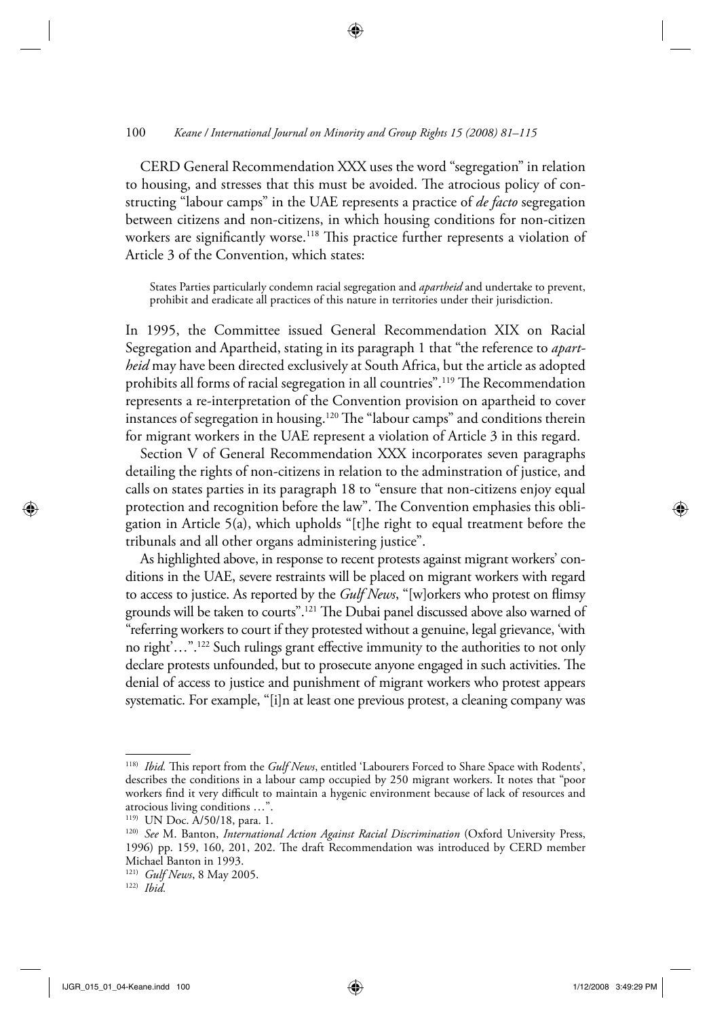CERD General Recommendation XXX uses the word "segregation" in relation to housing, and stresses that this must be avoided. The atrocious policy of constructing "labour camps" in the UAE represents a practice of *de facto* segregation between citizens and non-citizens, in which housing conditions for non-citizen workers are significantly worse.<sup>118</sup> This practice further represents a violation of Article 3 of the Convention, which states:

⊕

 States Parties particularly condemn racial segregation and *apartheid* and undertake to prevent, prohibit and eradicate all practices of this nature in territories under their jurisdiction.

 In 1995, the Committee issued General Recommendation XIX on Racial Segregation and Apartheid, stating in its paragraph 1 that "the reference to *apartheid* may have been directed exclusively at South Africa, but the article as adopted prohibits all forms of racial segregation in all countries".<sup>119</sup> The Recommendation represents a re-interpretation of the Convention provision on apartheid to cover instances of segregation in housing.<sup>120</sup> The "labour camps" and conditions therein for migrant workers in the UAE represent a violation of Article 3 in this regard.

 Section V of General Recommendation XXX incorporates seven paragraphs detailing the rights of non-citizens in relation to the adminstration of justice, and calls on states parties in its paragraph 18 to "ensure that non-citizens enjoy equal protection and recognition before the law". The Convention emphasies this obligation in Article 5(a), which upholds "[t]he right to equal treatment before the tribunals and all other organs administering justice".

 As highlighted above, in response to recent protests against migrant workers' conditions in the UAE, severe restraints will be placed on migrant workers with regard to access to justice. As reported by the *Gulf News*, "[w]orkers who protest on flimsy grounds will be taken to courts".<sup>121</sup> The Dubai panel discussed above also warned of "referring workers to court if they protested without a genuine, legal grievance, 'with no right'...".<sup>122</sup> Such rulings grant effective immunity to the authorities to not only declare protests unfounded, but to prosecute anyone engaged in such activities. The denial of access to justice and punishment of migrant workers who protest appears systematic. For example, "[i]n at least one previous protest, a cleaning company was

<sup>&</sup>lt;sup>118)</sup> *Ibid.* This report from the *Gulf News*, entitled 'Labourers Forced to Share Space with Rodents', describes the conditions in a labour camp occupied by 250 migrant workers. It notes that "poor workers find it very difficult to maintain a hygenic environment because of lack of resources and atrocious living conditions …".

 <sup>119)</sup> UN Doc. A/50/18, para. 1.

 <sup>120)</sup> *See* M. Banton, *International Action Against Racial Discrimination* (Oxford University Press, 1996) pp. 159, 160, 201, 202. The draft Recommendation was introduced by CERD member Michael Banton in 1993.

 <sup>121)</sup> *Gulf News* , 8 May 2005.

 <sup>122)</sup> *Ibid.*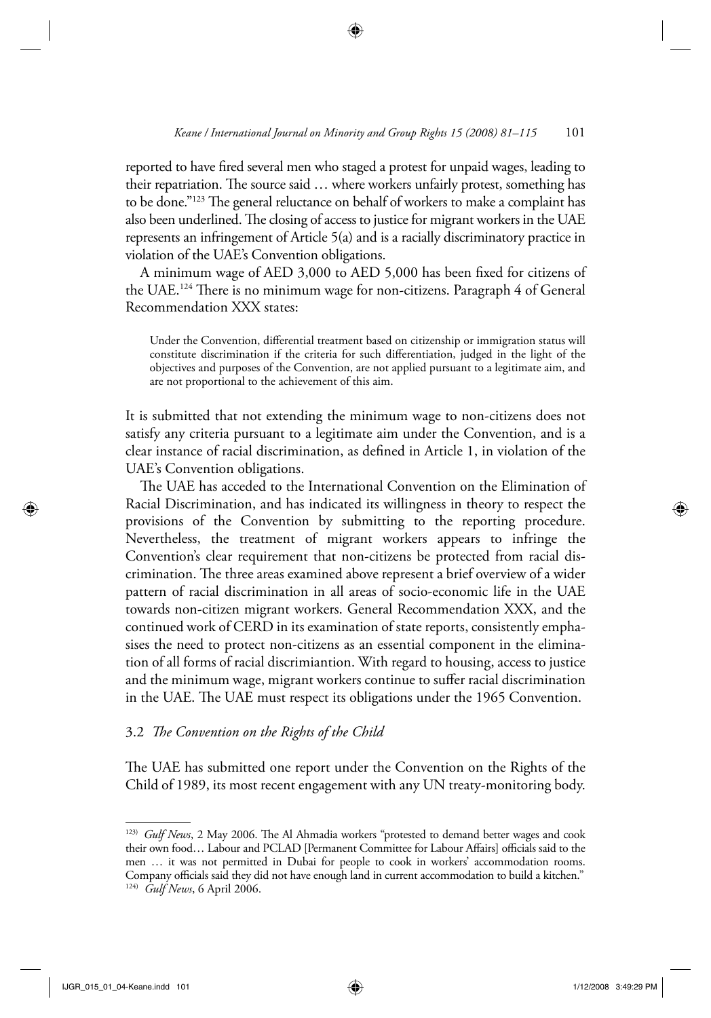reported to have fired several men who staged a protest for unpaid wages, leading to their repatriation. The source said ... where workers unfairly protest, something has to be done."<sup>123</sup> The general reluctance on behalf of workers to make a complaint has also been underlined. The closing of access to justice for migrant workers in the UAE represents an infringement of Article 5(a) and is a racially discriminatory practice in violation of the UAE's Convention obligations.

A minimum wage of AED 3,000 to AED 5,000 has been fixed for citizens of the UAE.<sup>124</sup> There is no minimum wage for non-citizens. Paragraph 4 of General Recommendation XXX states:

Under the Convention, differential treatment based on citizenship or immigration status will constitute discrimination if the criteria for such differentiation, judged in the light of the objectives and purposes of the Convention, are not applied pursuant to a legitimate aim, and are not proportional to the achievement of this aim.

 It is submitted that not extending the minimum wage to non-citizens does not satisfy any criteria pursuant to a legitimate aim under the Convention, and is a clear instance of racial discrimination, as defined in Article 1, in violation of the UAE's Convention obligations.

The UAE has acceded to the International Convention on the Elimination of Racial Discrimination, and has indicated its willingness in theory to respect the provisions of the Convention by submitting to the reporting procedure. Nevertheless, the treatment of migrant workers appears to infringe the Convention's clear requirement that non-citizens be protected from racial discrimination. The three areas examined above represent a brief overview of a wider pattern of racial discrimination in all areas of socio-economic life in the UAE towards non-citizen migrant workers. General Recommendation XXX, and the continued work of CERD in its examination of state reports, consistently emphasises the need to protect non-citizens as an essential component in the elimination of all forms of racial discrimiantion. With regard to housing, access to justice and the minimum wage, migrant workers continue to suffer racial discrimination in the UAE. The UAE must respect its obligations under the 1965 Convention.

## 3.2 *Th e Convention on the Rights of the Child*

The UAE has submitted one report under the Convention on the Rights of the Child of 1989, its most recent engagement with any UN treaty-monitoring body.

IJGR\_015\_01\_04-Keane.indd 101 JGR\_015\_01\_04-Keane.indd 1/12/2008 3:49:29 PM /12/2008

<sup>&</sup>lt;sup>123)</sup> *Gulf News*, 2 May 2006. The Al Ahmadia workers "protested to demand better wages and cook their own food... Labour and PCLAD [Permanent Committee for Labour Affairs] officials said to the men … it was not permitted in Dubai for people to cook in workers' accommodation rooms. Company officials said they did not have enough land in current accommodation to build a kitchen." 124) *Gulf News* , 6 April 2006.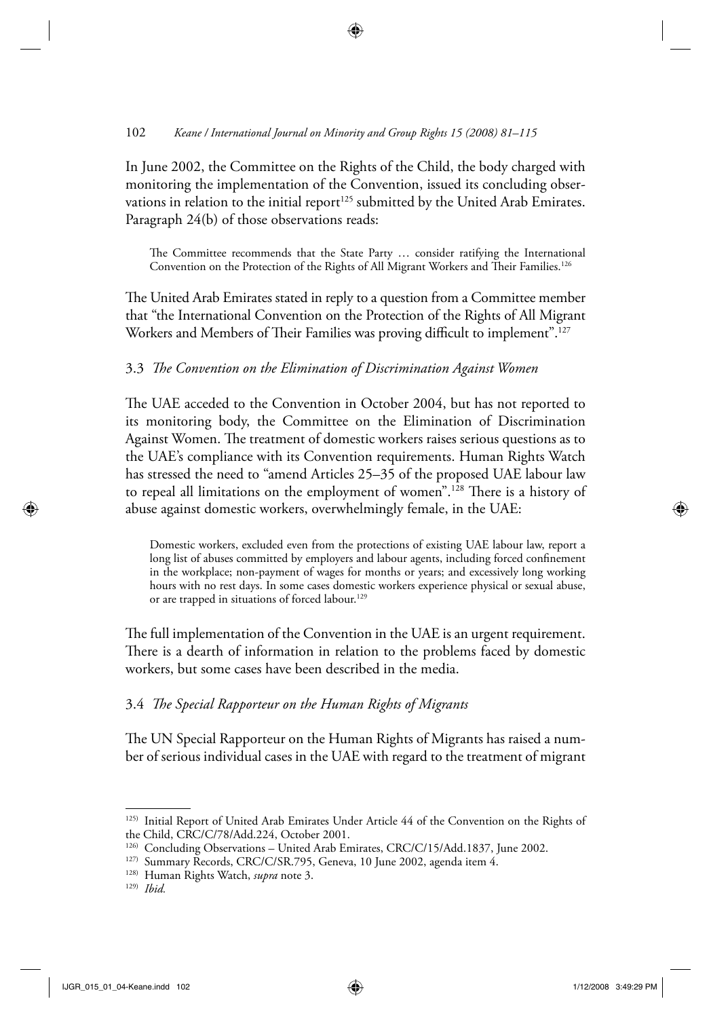In June 2002, the Committee on the Rights of the Child, the body charged with monitoring the implementation of the Convention, issued its concluding observations in relation to the initial report<sup>125</sup> submitted by the United Arab Emirates. Paragraph 24(b) of those observations reads:

⊕

The Committee recommends that the State Party ... consider ratifying the International Convention on the Protection of the Rights of All Migrant Workers and Their Families.<sup>126</sup>

The United Arab Emirates stated in reply to a question from a Committee member that "the International Convention on the Protection of the Rights of All Migrant Workers and Members of Their Families was proving difficult to implement".<sup>127</sup>

#### 3.3 *Th e Convention on the Elimination of Discrimination Against Women*

The UAE acceded to the Convention in October 2004, but has not reported to its monitoring body, the Committee on the Elimination of Discrimination Against Women. The treatment of domestic workers raises serious questions as to the UAE's compliance with its Convention requirements. Human Rights Watch has stressed the need to "amend Articles 25–35 of the proposed UAE labour law to repeal all limitations on the employment of women".<sup>128</sup> There is a history of abuse against domestic workers, overwhelmingly female, in the UAE:

 Domestic workers, excluded even from the protections of existing UAE labour law, report a long list of abuses committed by employers and labour agents, including forced confinement in the workplace; non-payment of wages for months or years; and excessively long working hours with no rest days. In some cases domestic workers experience physical or sexual abuse, or are trapped in situations of forced labour.<sup>129</sup>

The full implementation of the Convention in the UAE is an urgent requirement. There is a dearth of information in relation to the problems faced by domestic workers, but some cases have been described in the media.

#### 3.4 *Th e Special Rapporteur on the Human Rights of Migrants*

The UN Special Rapporteur on the Human Rights of Migrants has raised a number of serious individual cases in the UAE with regard to the treatment of migrant

⊕

 <sup>125)</sup> Initial Report of United Arab Emirates Under Article 44 of the Convention on the Rights of the Child, CRC/C/78/Add.224, October 2001.

 <sup>126)</sup> Concluding Observations – United Arab Emirates, CRC/C/15/Add.1837, June 2002.

 <sup>127)</sup> Summary Records, CRC/C/SR.795, Geneva, 10 June 2002, agenda item 4.

 <sup>128)</sup> Human Rights Watch, *supra* note 3.

 <sup>129)</sup> *Ibid.*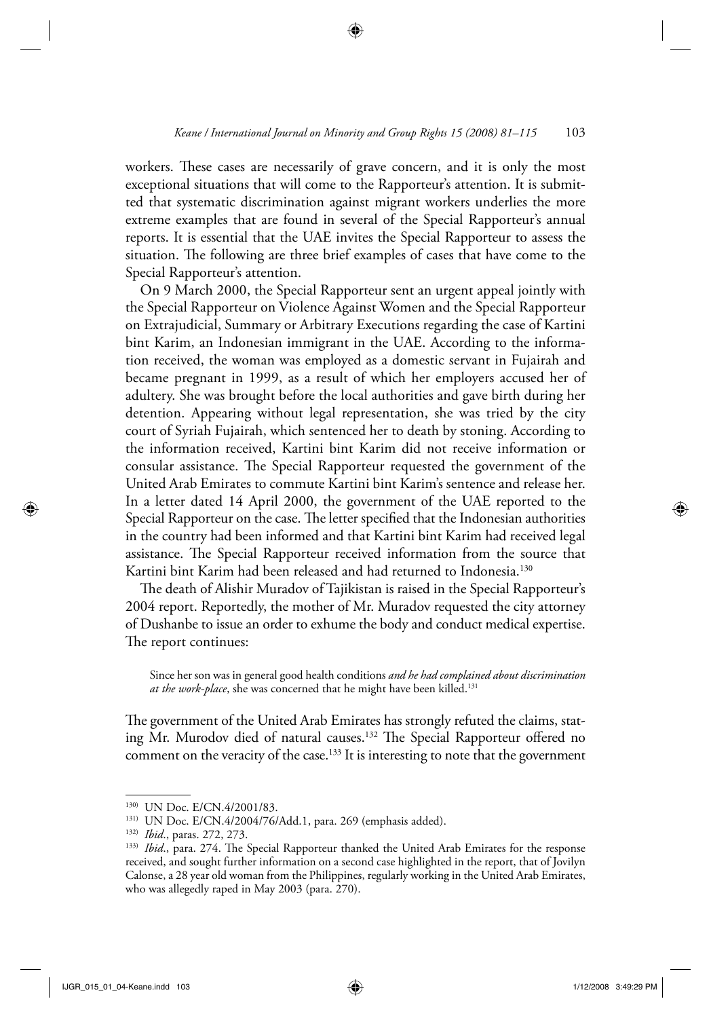workers. These cases are necessarily of grave concern, and it is only the most exceptional situations that will come to the Rapporteur's attention. It is submitted that systematic discrimination against migrant workers underlies the more extreme examples that are found in several of the Special Rapporteur's annual reports. It is essential that the UAE invites the Special Rapporteur to assess the situation. The following are three brief examples of cases that have come to the Special Rapporteur's attention.

⊕

 On 9 March 2000, the Special Rapporteur sent an urgent appeal jointly with the Special Rapporteur on Violence Against Women and the Special Rapporteur on Extrajudicial, Summary or Arbitrary Executions regarding the case of Kartini bint Karim, an Indonesian immigrant in the UAE. According to the information received, the woman was employed as a domestic servant in Fujairah and became pregnant in 1999, as a result of which her employers accused her of adultery. She was brought before the local authorities and gave birth during her detention. Appearing without legal representation, she was tried by the city court of Syriah Fujairah, which sentenced her to death by stoning. According to the information received, Kartini bint Karim did not receive information or consular assistance. The Special Rapporteur requested the government of the United Arab Emirates to commute Kartini bint Karim's sentence and release her. In a letter dated 14 April 2000, the government of the UAE reported to the Special Rapporteur on the case. The letter specified that the Indonesian authorities in the country had been informed and that Kartini bint Karim had received legal assistance. The Special Rapporteur received information from the source that Kartini bint Karim had been released and had returned to Indonesia. 130

The death of Alishir Muradov of Tajikistan is raised in the Special Rapporteur's 2004 report. Reportedly, the mother of Mr. Muradov requested the city attorney of Dushanbe to issue an order to exhume the body and conduct medical expertise. The report continues:

 Since her son was in general good health conditions *and he had complained about discrimination at the work-place*, she was concerned that he might have been killed.<sup>131</sup>

The government of the United Arab Emirates has strongly refuted the claims, stating Mr. Murodov died of natural causes.<sup>132</sup> The Special Rapporteur offered no comment on the veracity of the case.<sup>133</sup> It is interesting to note that the government

IJGR\_015\_01\_04-Keane.indd 103 JGR\_015\_01\_04-Keane.indd 1/12/2008 3:49:29 PM /12/2008

 <sup>130)</sup> UN Doc. E/CN.4/2001/83.

 <sup>131)</sup> UN Doc. E/CN.4/2004/76/Add.1, para. 269 (emphasis added).

 <sup>132)</sup> *Ibid* ., paras. 272, 273.

<sup>&</sup>lt;sup>133)</sup> *Ibid.*, para. 274. The Special Rapporteur thanked the United Arab Emirates for the response received, and sought further information on a second case highlighted in the report, that of Jovilyn Calonse, a 28 year old woman from the Philippines, regularly working in the United Arab Emirates, who was allegedly raped in May 2003 (para. 270).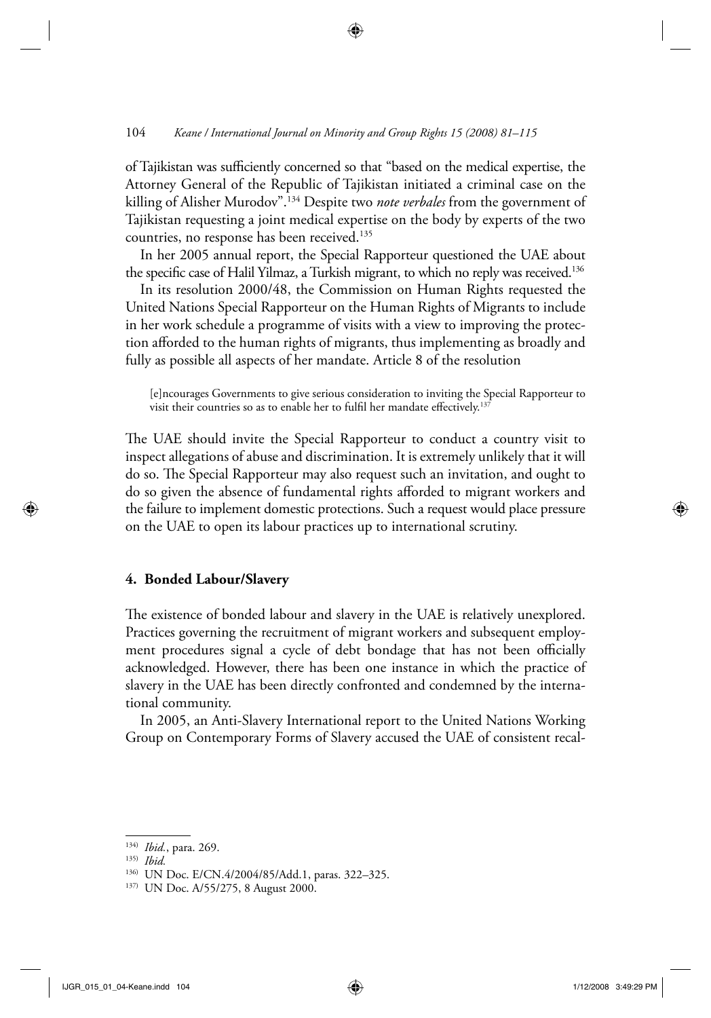of Tajikistan was sufficiently concerned so that "based on the medical expertise, the Attorney General of the Republic of Tajikistan initiated a criminal case on the killing of Alisher Murodov". 134 Despite two *note verbales* from the government of Tajikistan requesting a joint medical expertise on the body by experts of the two countries, no response has been received. 135

⊕

 In her 2005 annual report, the Special Rapporteur questioned the UAE about the specific case of Halil Yilmaz, a Turkish migrant, to which no reply was received.<sup>136</sup>

 In its resolution 2000/48, the Commission on Human Rights requested the United Nations Special Rapporteur on the Human Rights of Migrants to include in her work schedule a programme of visits with a view to improving the protection aff orded to the human rights of migrants, thus implementing as broadly and fully as possible all aspects of her mandate. Article 8 of the resolution

 [e]ncourages Governments to give serious consideration to inviting the Special Rapporteur to visit their countries so as to enable her to fulfil her mandate effectively.<sup>13</sup>

The UAE should invite the Special Rapporteur to conduct a country visit to inspect allegations of abuse and discrimination. It is extremely unlikely that it will do so. The Special Rapporteur may also request such an invitation, and ought to do so given the absence of fundamental rights afforded to migrant workers and the failure to implement domestic protections. Such a request would place pressure on the UAE to open its labour practices up to international scrutiny.

#### **4. Bonded Labour/Slavery**

The existence of bonded labour and slavery in the UAE is relatively unexplored. Practices governing the recruitment of migrant workers and subsequent employment procedures signal a cycle of debt bondage that has not been officially acknowledged. However, there has been one instance in which the practice of slavery in the UAE has been directly confronted and condemned by the international community.

 In 2005, an Anti-Slavery International report to the United Nations Working Group on Contemporary Forms of Slavery accused the UAE of consistent recal-

⊕

<sup>&</sup>lt;sup>134)</sup> *Ibid.*, para. 269.

 <sup>135)</sup> *Ibid.*

<sup>&</sup>lt;sup>136)</sup> UN Doc. E/CN.4/2004/85/Add.1, paras. 322-325.

<sup>137)</sup> UN Doc. A/55/275, 8 August 2000.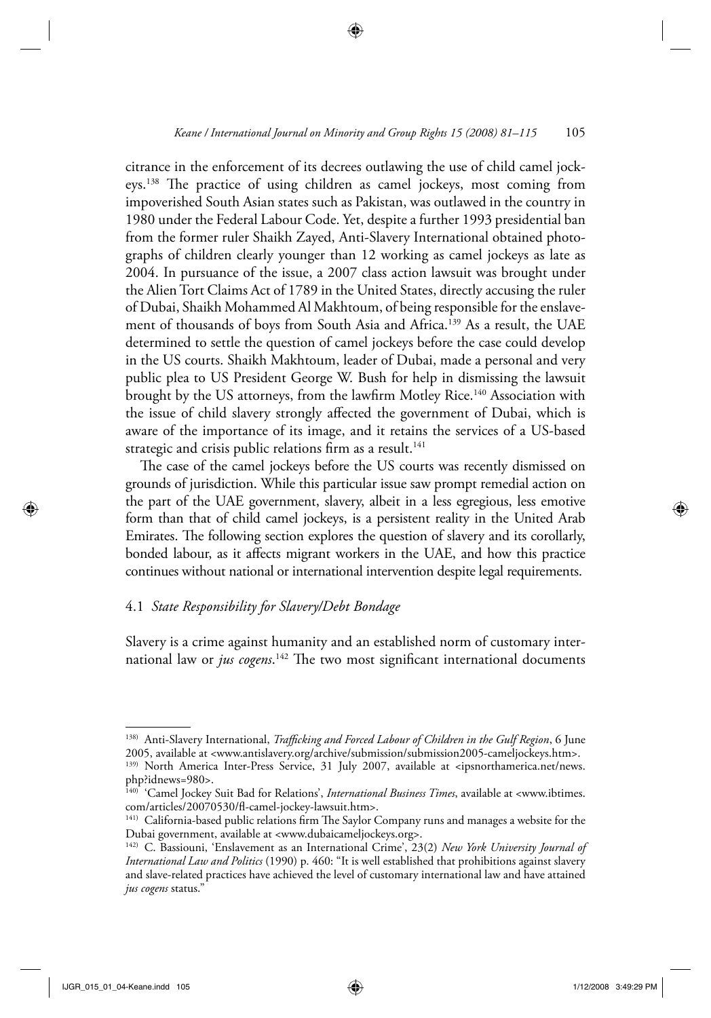⊕

citrance in the enforcement of its decrees outlawing the use of child camel jockeys.<sup>138</sup> The practice of using children as camel jockeys, most coming from impoverished South Asian states such as Pakistan, was outlawed in the country in 1980 under the Federal Labour Code. Yet, despite a further 1993 presidential ban from the former ruler Shaikh Zayed, Anti-Slavery International obtained photographs of children clearly younger than 12 working as camel jockeys as late as 2004. In pursuance of the issue, a 2007 class action lawsuit was brought under the Alien Tort Claims Act of 1789 in the United States, directly accusing the ruler of Dubai, Shaikh Mohammed Al Makhtoum, of being responsible for the enslavement of thousands of boys from South Asia and Africa.<sup>139</sup> As a result, the UAE determined to settle the question of camel jockeys before the case could develop in the US courts. Shaikh Makhtoum, leader of Dubai, made a personal and very public plea to US President George W. Bush for help in dismissing the lawsuit brought by the US attorneys, from the lawfirm Motley Rice.<sup>140</sup> Association with the issue of child slavery strongly affected the government of Dubai, which is aware of the importance of its image, and it retains the services of a US-based strategic and crisis public relations firm as a result.<sup>141</sup>

The case of the camel jockeys before the US courts was recently dismissed on grounds of jurisdiction. While this particular issue saw prompt remedial action on the part of the UAE government, slavery, albeit in a less egregious, less emotive form than that of child camel jockeys, is a persistent reality in the United Arab Emirates. The following section explores the question of slavery and its corollarly, bonded labour, as it affects migrant workers in the UAE, and how this practice continues without national or international intervention despite legal requirements.

## 4.1 *State Responsibility for Slavery/Debt Bondage*

 Slavery is a crime against humanity and an established norm of customary international law or *jus cogens*.<sup>142</sup> The two most significant international documents

IJGR\_015\_01\_04-Keane.indd 105 JGR\_015\_01\_04-Keane.indd 1/12/2008 3:49:29 PM /12/2008

⊕

<sup>&</sup>lt;sup>138)</sup> Anti-Slavery International, *Trafficking and Forced Labour of Children in the Gulf Region*, 6 June 2005, available at <www.antislavery.org/archive/submission/submission2005-cameljockeys.htm>. 139) North America Inter-Press Service, 31 July 2007, available at <ipsnorthamerica.net/news. php?idnews=980>.

 <sup>140) &#</sup>x27;Camel Jockey Suit Bad for Relations', *International Business Times* , available at <www.ibtimes. com/articles/20070530/fl -camel-jockey-lawsuit.htm>.

<sup>&</sup>lt;sup>141)</sup> California-based public relations firm The Saylor Company runs and manages a website for the Dubai government, available at <www.dubaicameljockeys.org>.

 <sup>142)</sup> C. Bassiouni, 'Enslavement as an International Crime', 23(2) *New York University Journal of International Law and Politics* (1990) p. 460: "It is well established that prohibitions against slavery and slave-related practices have achieved the level of customary international law and have attained *jus cogens* status."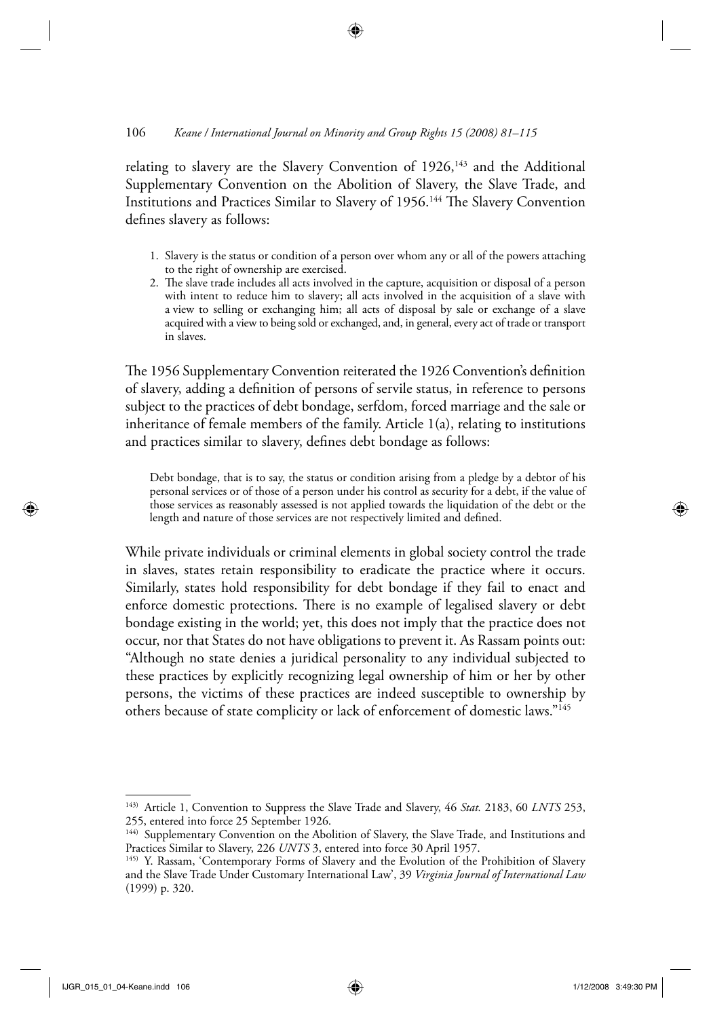relating to slavery are the Slavery Convention of  $1926$ ,  $143$  and the Additional Supplementary Convention on the Abolition of Slavery, the Slave Trade, and Institutions and Practices Similar to Slavery of 1956.<sup>144</sup> The Slavery Convention defines slavery as follows:

- 1. Slavery is the status or condition of a person over whom any or all of the powers attaching to the right of ownership are exercised.
- 2. The slave trade includes all acts involved in the capture, acquisition or disposal of a person with intent to reduce him to slavery; all acts involved in the acquisition of a slave with a view to selling or exchanging him; all acts of disposal by sale or exchange of a slave acquired with a view to being sold or exchanged, and, in general, every act of trade or transport in slaves.

The 1956 Supplementary Convention reiterated the 1926 Convention's definition of slavery, adding a definition of persons of servile status, in reference to persons subject to the practices of debt bondage, serfdom, forced marriage and the sale or inheritance of female members of the family. Article 1(a), relating to institutions and practices similar to slavery, defines debt bondage as follows:

 Debt bondage, that is to say, the status or condition arising from a pledge by a debtor of his personal services or of those of a person under his control as security for a debt, if the value of those services as reasonably assessed is not applied towards the liquidation of the debt or the length and nature of those services are not respectively limited and defined.

 While private individuals or criminal elements in global society control the trade in slaves, states retain responsibility to eradicate the practice where it occurs. Similarly, states hold responsibility for debt bondage if they fail to enact and enforce domestic protections. There is no example of legalised slavery or debt bondage existing in the world; yet, this does not imply that the practice does not occur, nor that States do not have obligations to prevent it. As Rassam points out: "Although no state denies a juridical personality to any individual subjected to these practices by explicitly recognizing legal ownership of him or her by other persons, the victims of these practices are indeed susceptible to ownership by others because of state complicity or lack of enforcement of domestic laws." 145

IJGR\_015\_01\_04-Keane.indd 106 JGR\_015\_01\_04-Keane.indd 1/12/2008 3:49:30 PM /12/2008

⊕

 <sup>143)</sup> Article 1, Convention to Suppress the Slave Trade and Slavery, 46 *Stat.* 2183, 60 *LNTS* 253, 255, entered into force 25 September 1926.

 <sup>144)</sup> Supplementary Convention on the Abolition of Slavery, the Slave Trade, and Institutions and Practices Similar to Slavery, 226 *UNTS* 3, entered into force 30 April 1957.

 <sup>145)</sup> Y. Rassam, 'Contemporary Forms of Slavery and the Evolution of the Prohibition of Slavery and the Slave Trade Under Customary International Law', 39 *Virginia Journal of International Law* (1999) p. 320.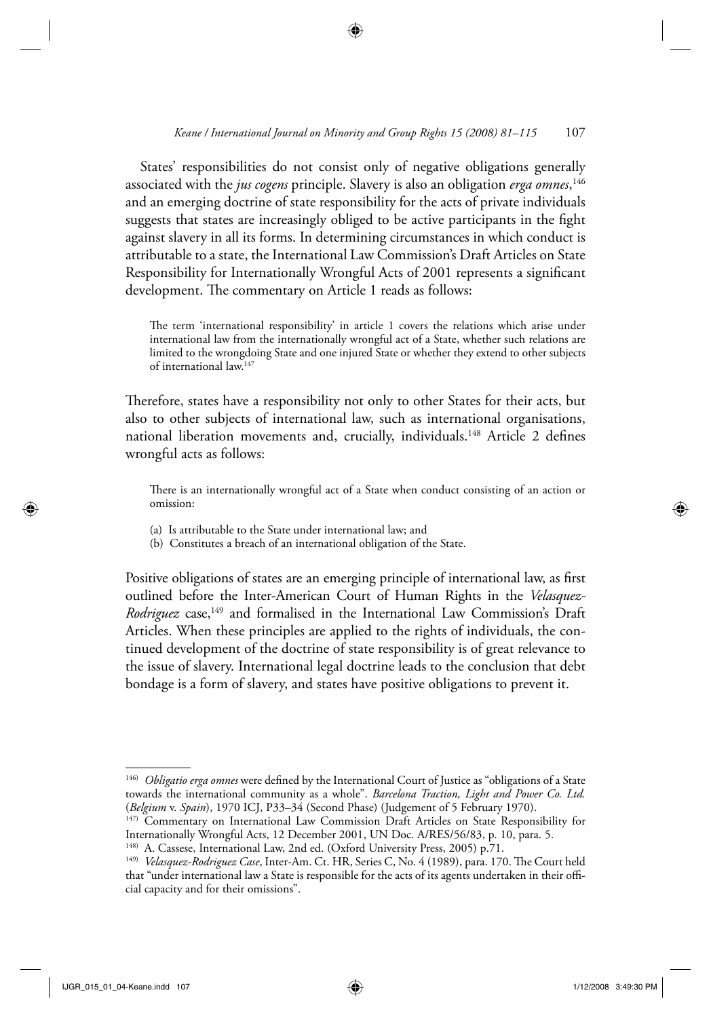States' responsibilities do not consist only of negative obligations generally associated with the *jus cogens* principle. Slavery is also an obligation *erga omnes* , 146 and an emerging doctrine of state responsibility for the acts of private individuals suggests that states are increasingly obliged to be active participants in the fight against slavery in all its forms. In determining circumstances in which conduct is attributable to a state, the International Law Commission's Draft Articles on State Responsibility for Internationally Wrongful Acts of 2001 represents a significant development. The commentary on Article 1 reads as follows:

The term 'international responsibility' in article 1 covers the relations which arise under international law from the internationally wrongful act of a State, whether such relations are limited to the wrongdoing State and one injured State or whether they extend to other subjects of international law. 147

Therefore, states have a responsibility not only to other States for their acts, but also to other subjects of international law, such as international organisations, national liberation movements and, crucially, individuals.<sup>148</sup> Article 2 defines wrongful acts as follows:

There is an internationally wrongful act of a State when conduct consisting of an action or omission:

(a) Is attributable to the State under international law; and

(b) Constitutes a breach of an international obligation of the State.

Positive obligations of states are an emerging principle of international law, as first outlined before the Inter-American Court of Human Rights in the *Velasquez-Rodriguez* case,<sup>149</sup> and formalised in the International Law Commission's Draft Articles. When these principles are applied to the rights of individuals, the continued development of the doctrine of state responsibility is of great relevance to the issue of slavery. International legal doctrine leads to the conclusion that debt bondage is a form of slavery, and states have positive obligations to prevent it.

<sup>146)</sup> *Obligatio erga omnes* were defined by the International Court of Justice as "obligations of a State towards the international community as a whole". *Barcelona Traction, Light and Power Co. Ltd.* ( *Belgium* v. *Spain* ), 1970 ICJ, P33–34 (Second Phase) (Judgement of 5 February 1970).

IJGR\_015\_01\_04-Keane.indd 107 JGR\_015\_01\_04-Keane.indd 1/12/2008 3:49:30 PM /12/2008

⊕

<sup>&</sup>lt;sup>147)</sup> Commentary on International Law Commission Draft Articles on State Responsibility for Internationally Wrongful Acts, 12 December 2001, UN Doc. A/RES/56/83, p. 10, para. 5.

 <sup>148)</sup> A. Cassese, International Law, 2nd ed. (Oxford University Press, 2005) p.71.

<sup>&</sup>lt;sup>149)</sup> *Velasquez-Rodriguez Case*, Inter-Am. Ct. HR, Series C, No. 4 (1989), para. 170. The Court held that "under international law a State is responsible for the acts of its agents undertaken in their official capacity and for their omissions".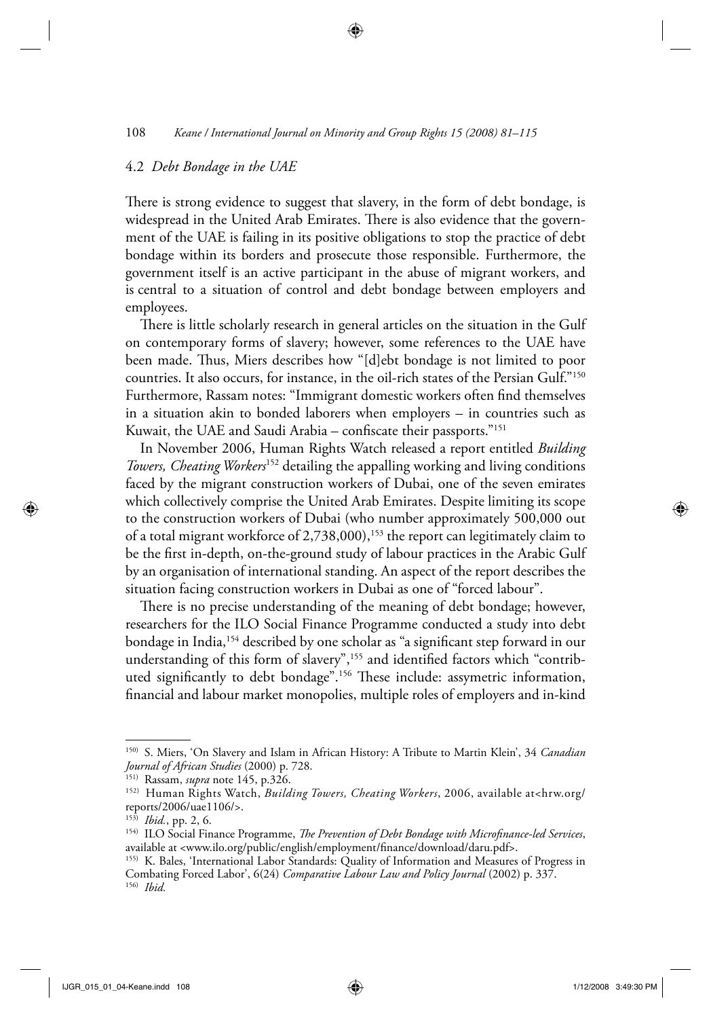⊕

## 4.2 *Debt Bondage in the UAE*

There is strong evidence to suggest that slavery, in the form of debt bondage, is widespread in the United Arab Emirates. There is also evidence that the government of the UAE is failing in its positive obligations to stop the practice of debt bondage within its borders and prosecute those responsible. Furthermore, the government itself is an active participant in the abuse of migrant workers, and is central to a situation of control and debt bondage between employers and employees.

There is little scholarly research in general articles on the situation in the Gulf on contemporary forms of slavery; however, some references to the UAE have been made. Thus, Miers describes how "[d]ebt bondage is not limited to poor countries. It also occurs, for instance, in the oil-rich states of the Persian Gulf." 150 Furthermore, Rassam notes: "Immigrant domestic workers often find themselves in a situation akin to bonded laborers when employers – in countries such as Kuwait, the UAE and Saudi Arabia – confiscate their passports."<sup>151</sup>

 In November 2006, Human Rights Watch released a report entitled *Building Towers, Cheating Workers*152 detailing the appalling working and living conditions faced by the migrant construction workers of Dubai, one of the seven emirates which collectively comprise the United Arab Emirates. Despite limiting its scope to the construction workers of Dubai (who number approximately 500,000 out of a total migrant workforce of 2,738,000),<sup>153</sup> the report can legitimately claim to be the first in-depth, on-the-ground study of labour practices in the Arabic Gulf by an organisation of international standing. An aspect of the report describes the situation facing construction workers in Dubai as one of "forced labour".

There is no precise understanding of the meaning of debt bondage; however, researchers for the ILO Social Finance Programme conducted a study into debt bondage in India,<sup>154</sup> described by one scholar as "a significant step forward in our understanding of this form of slavery",<sup>155</sup> and identified factors which "contributed significantly to debt bondage".<sup>156</sup> These include: assymetric information, financial and labour market monopolies, multiple roles of employers and in-kind

IJGR\_015\_01\_04-Keane.indd 108 JGR\_015\_01\_04-Keane.indd 1/12/2008 3:49:30 PM /12/2008

◈

 <sup>150)</sup> S. Miers, 'On Slavery and Islam in African History: A Tribute to Martin Klein', 34 *Canadian Journal of African Studies* (2000) p. 728.

 <sup>151)</sup> Rassam, *supra* note 145, p.326.

 <sup>152)</sup> Human Rights Watch, *Building Towers, Cheating Workers* , 2006, available at<hrw.org/ reports/2006/uae1106/>.

 <sup>153)</sup> *Ibid.* , pp. 2, 6.

<sup>&</sup>lt;sup>154)</sup> ILO Social Finance Programme, *The Prevention of Debt Bondage with Microfinance-led Services*, available at <www.ilo.org/public/english/employment/finance/download/daru.pdf>.

<sup>155)</sup> K. Bales, 'International Labor Standards: Quality of Information and Measures of Progress in Combating Forced Labor', 6(24) *Comparative Labour Law and Policy Journal* (2002) p. 337. 156) *Ibid.*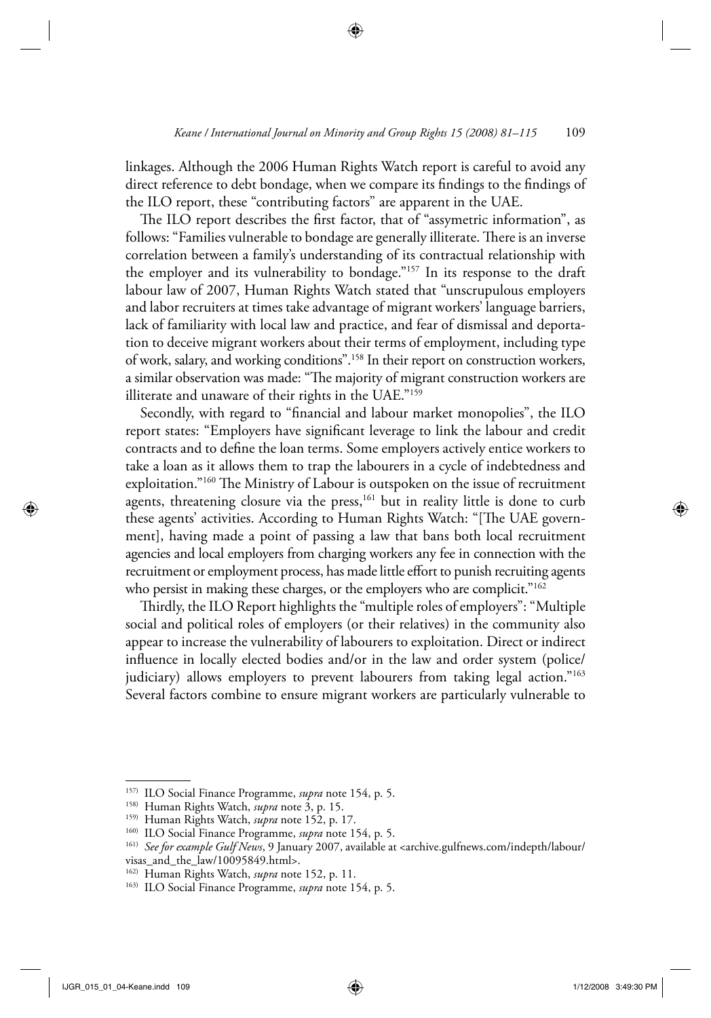linkages. Although the 2006 Human Rights Watch report is careful to avoid any direct reference to debt bondage, when we compare its findings to the findings of the ILO report, these "contributing factors" are apparent in the UAE.

⊕

The ILO report describes the first factor, that of "assymetric information", as follows: "Families vulnerable to bondage are generally illiterate. There is an inverse correlation between a family's understanding of its contractual relationship with the employer and its vulnerability to bondage."<sup>157</sup> In its response to the draft labour law of 2007, Human Rights Watch stated that "unscrupulous employers and labor recruiters at times take advantage of migrant workers' language barriers, lack of familiarity with local law and practice, and fear of dismissal and deportation to deceive migrant workers about their terms of employment, including type of work, salary, and working conditions". 158 In their report on construction workers, a similar observation was made: "The majority of migrant construction workers are illiterate and unaware of their rights in the UAE."<sup>159</sup>

Secondly, with regard to "financial and labour market monopolies", the ILO report states: "Employers have significant leverage to link the labour and credit contracts and to define the loan terms. Some employers actively entice workers to take a loan as it allows them to trap the labourers in a cycle of indebtedness and exploitation."<sup>160</sup> The Ministry of Labour is outspoken on the issue of recruitment agents, threatening closure via the press,<sup>161</sup> but in reality little is done to curb these agents' activities. According to Human Rights Watch: "[The UAE government], having made a point of passing a law that bans both local recruitment agencies and local employers from charging workers any fee in connection with the recruitment or employment process, has made little effort to punish recruiting agents who persist in making these charges, or the employers who are complicit."<sup>162</sup>

Thirdly, the ILO Report highlights the "multiple roles of employers": "Multiple social and political roles of employers (or their relatives) in the community also appear to increase the vulnerability of labourers to exploitation. Direct or indirect influence in locally elected bodies and/or in the law and order system (police/ judiciary) allows employers to prevent labourers from taking legal action."<sup>163</sup> Several factors combine to ensure migrant workers are particularly vulnerable to

 <sup>157)</sup> ILO Social Finance Programme, *supra* note 154, p. 5.

 <sup>158)</sup> Human Rights Watch, *supra* note 3, p. 15.

 <sup>159)</sup> Human Rights Watch, *supra* note 152, p. 17.

 <sup>160)</sup> ILO Social Finance Programme, *supra* note 154, p. 5.

<sup>&</sup>lt;sup>161)</sup> See for example Gulf News, 9 January 2007, available at <archive.gulfnews.com/indepth/labour/ visas\_and\_the\_law/10095849.html>.

 <sup>162)</sup> Human Rights Watch, *supra* note 152, p. 11.

 <sup>163)</sup> ILO Social Finance Programme, *supra* note 154, p. 5.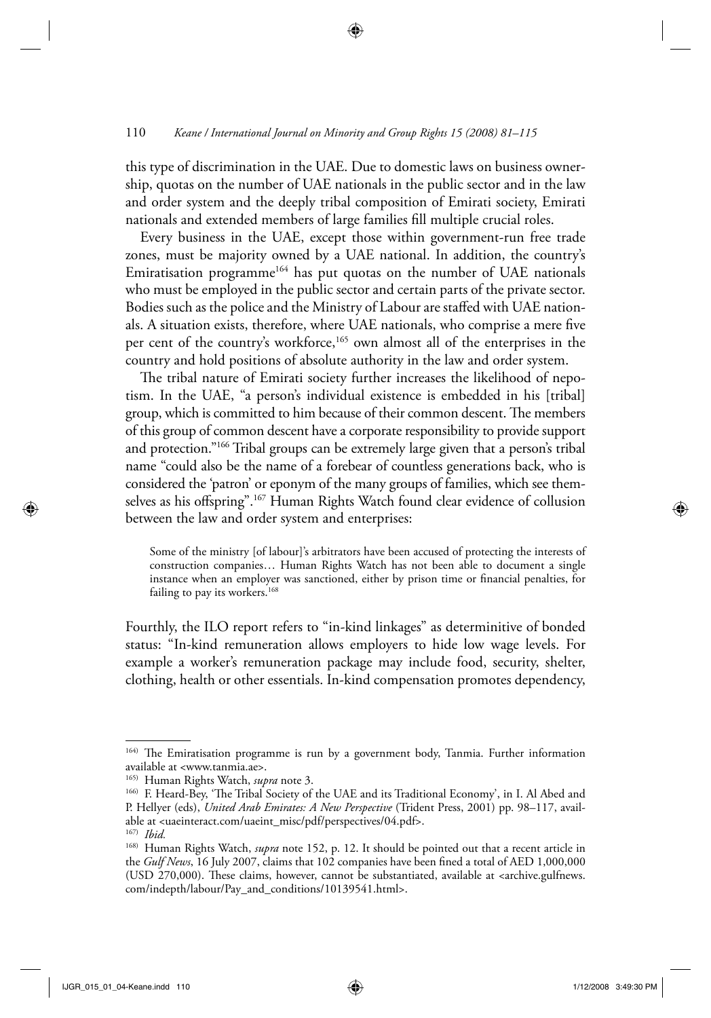this type of discrimination in the UAE. Due to domestic laws on business ownership, quotas on the number of UAE nationals in the public sector and in the law and order system and the deeply tribal composition of Emirati society, Emirati nationals and extended members of large families fill multiple crucial roles.

⊕

 Every business in the UAE, except those within government-run free trade zones, must be majority owned by a UAE national. In addition, the country's Emiratisation programme<sup>164</sup> has put quotas on the number of UAE nationals who must be employed in the public sector and certain parts of the private sector. Bodies such as the police and the Ministry of Labour are staffed with UAE nationals. A situation exists, therefore, where UAE nationals, who comprise a mere five per cent of the country's workforce, 165 own almost all of the enterprises in the country and hold positions of absolute authority in the law and order system.

The tribal nature of Emirati society further increases the likelihood of nepotism. In the UAE, "a person's individual existence is embedded in his [tribal] group, which is committed to him because of their common descent. The members of this group of common descent have a corporate responsibility to provide support and protection." 166 Tribal groups can be extremely large given that a person's tribal name "could also be the name of a forebear of countless generations back, who is considered the 'patron' or eponym of the many groups of families, which see themselves as his offspring".<sup>167</sup> Human Rights Watch found clear evidence of collusion between the law and order system and enterprises:

 Some of the ministry [of labour]'s arbitrators have been accused of protecting the interests of construction companies… Human Rights Watch has not been able to document a single instance when an employer was sanctioned, either by prison time or financial penalties, for failing to pay its workers.<sup>168</sup>

 Fourthly, the ILO report refers to "in-kind linkages" as determinitive of bonded status: "In-kind remuneration allows employers to hide low wage levels. For example a worker's remuneration package may include food, security, shelter, clothing, health or other essentials. In-kind compensation promotes dependency,

⊕

IJGR\_015\_01\_04-Keane.indd 110 JGR\_015\_01\_04-Keane.indd 1/12/2008 3:49:30 PM /12/2008

<sup>&</sup>lt;sup>164)</sup> The Emiratisation programme is run by a government body, Tanmia. Further information available at <www.tanmia.ae>.

 <sup>165)</sup> Human Rights Watch, *supra* note 3.

<sup>166)</sup> F. Heard-Bey, 'The Tribal Society of the UAE and its Traditional Economy', in I. Al Abed and P. Hellyer (eds), *United Arab Emirates: A New Perspective* (Trident Press, 2001) pp. 98–117, available at <uaeinteract.com/uaeint\_misc/pdf/perspectives/04.pdf>.

 <sup>167)</sup> *Ibid.*

 <sup>168)</sup> Human Rights Watch, *supra* note 152, p. 12. It should be pointed out that a recent article in the *Gulf News*, 16 July 2007, claims that 102 companies have been fined a total of AED 1,000,000 (USD 270,000). These claims, however, cannot be substantiated, available at <archive.gulfnews. com/indepth/labour/Pay\_and\_conditions/10139541.html>.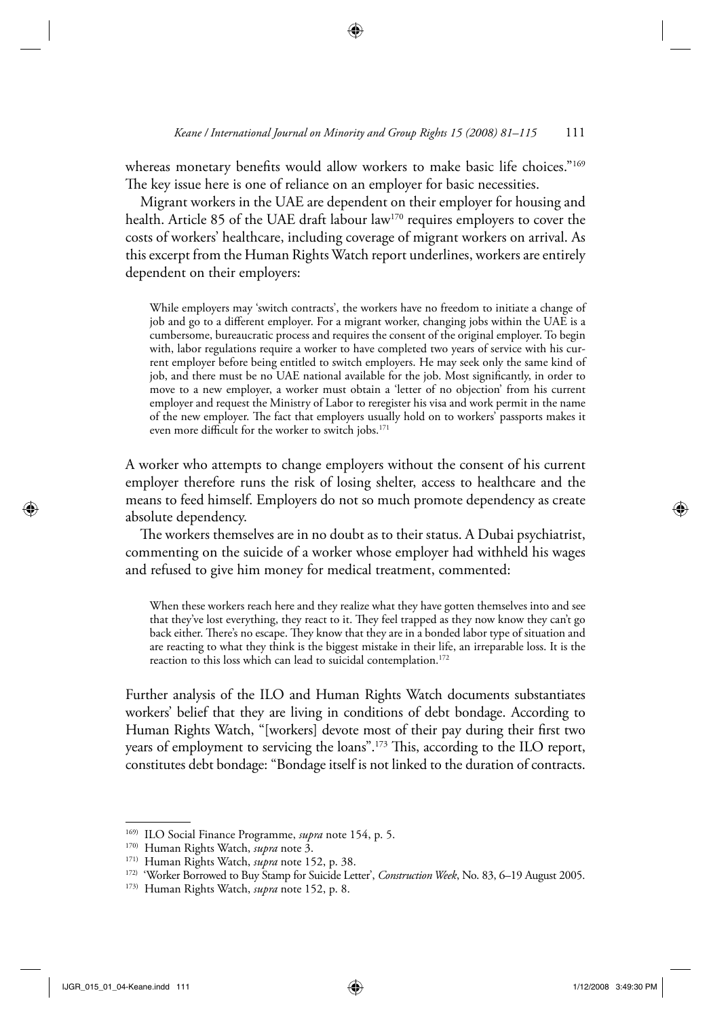whereas monetary benefits would allow workers to make basic life choices."<sup>169</sup> The key issue here is one of reliance on an employer for basic necessities.

 Migrant workers in the UAE are dependent on their employer for housing and health. Article 85 of the UAE draft labour law<sup>170</sup> requires employers to cover the costs of workers' healthcare, including coverage of migrant workers on arrival. As this excerpt from the Human Rights Watch report underlines, workers are entirely dependent on their employers:

 While employers may 'switch contracts', the workers have no freedom to initiate a change of job and go to a different employer. For a migrant worker, changing jobs within the UAE is a cumbersome, bureaucratic process and requires the consent of the original employer. To begin with, labor regulations require a worker to have completed two years of service with his current employer before being entitled to switch employers. He may seek only the same kind of job, and there must be no UAE national available for the job. Most significantly, in order to move to a new employer, a worker must obtain a 'letter of no objection' from his current employer and request the Ministry of Labor to reregister his visa and work permit in the name of the new employer. The fact that employers usually hold on to workers' passports makes it even more difficult for the worker to switch jobs.<sup>171</sup>

 A worker who attempts to change employers without the consent of his current employer therefore runs the risk of losing shelter, access to healthcare and the means to feed himself. Employers do not so much promote dependency as create absolute dependency.

The workers themselves are in no doubt as to their status. A Dubai psychiatrist, commenting on the suicide of a worker whose employer had withheld his wages and refused to give him money for medical treatment, commented:

 When these workers reach here and they realize what they have gotten themselves into and see that they've lost everything, they react to it. They feel trapped as they now know they can't go back either. There's no escape. They know that they are in a bonded labor type of situation and are reacting to what they think is the biggest mistake in their life, an irreparable loss. It is the reaction to this loss which can lead to suicidal contemplation.<sup>172</sup>

 Further analysis of the ILO and Human Rights Watch documents substantiates workers' belief that they are living in conditions of debt bondage. According to Human Rights Watch, "[workers] devote most of their pay during their first two years of employment to servicing the loans".<sup>173</sup> This, according to the ILO report, constitutes debt bondage: "Bondage itself is not linked to the duration of contracts.

IJGR\_015\_01\_04-Keane.indd 111 Johann July (♦) Johann July 1/12/2008 3:49:30 PM /

 <sup>169)</sup> ILO Social Finance Programme, *supra* note 154, p. 5.

 <sup>170)</sup> Human Rights Watch, *supra* note 3.

 <sup>171)</sup> Human Rights Watch, *supra* note 152, p. 38.

<sup>&</sup>lt;sup>172)</sup> 'Worker Borrowed to Buy Stamp for Suicide Letter', *Construction Week*, No. 83, 6-19 August 2005.

 <sup>173)</sup> Human Rights Watch, *supra* note 152, p. 8.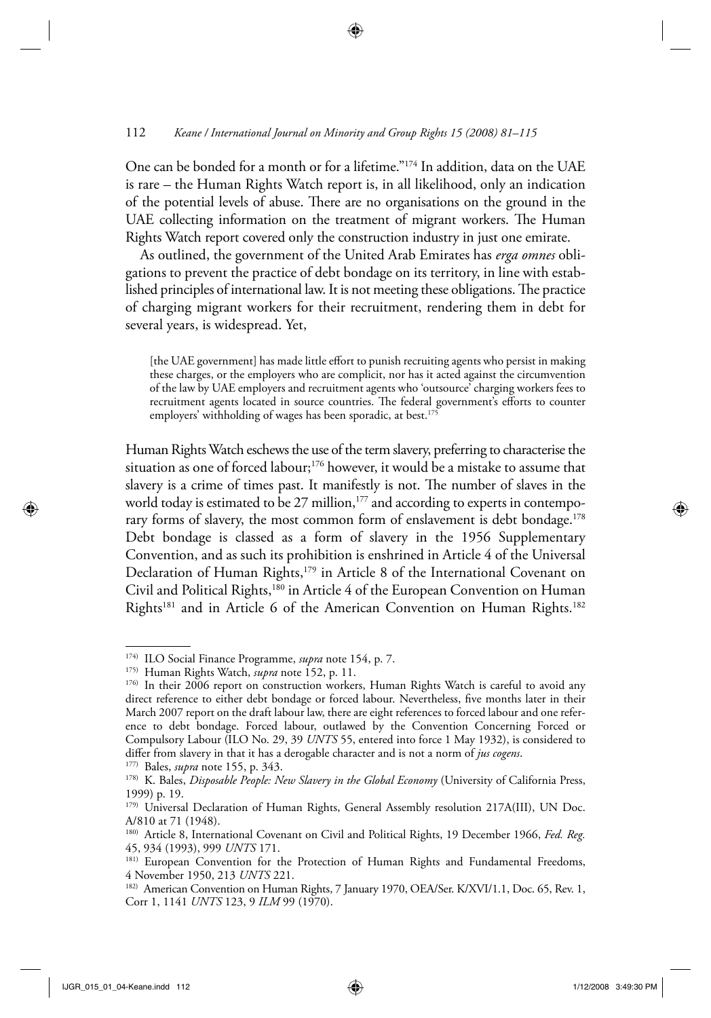One can be bonded for a month or for a lifetime."<sup>174</sup> In addition, data on the UAE is rare – the Human Rights Watch report is, in all likelihood, only an indication of the potential levels of abuse. There are no organisations on the ground in the UAE collecting information on the treatment of migrant workers. The Human Rights Watch report covered only the construction industry in just one emirate.

⊕

 As outlined, the government of the United Arab Emirates has *erga omnes* obligations to prevent the practice of debt bondage on its territory, in line with established principles of international law. It is not meeting these obligations. The practice of charging migrant workers for their recruitment, rendering them in debt for several years, is widespread. Yet,

[the UAE government] has made little effort to punish recruiting agents who persist in making these charges, or the employers who are complicit, nor has it acted against the circumvention of the law by UAE employers and recruitment agents who 'outsource' charging workers fees to recruitment agents located in source countries. The federal government's efforts to counter employers' withholding of wages has been sporadic, at best.<sup>175</sup>

 Human Rights Watch eschews the use of the term slavery, preferring to characterise the situation as one of forced labour;<sup>176</sup> however, it would be a mistake to assume that slavery is a crime of times past. It manifestly is not. The number of slaves in the world today is estimated to be 27 million, $177$  and according to experts in contemporary forms of slavery, the most common form of enslavement is debt bondage.<sup>178</sup> Debt bondage is classed as a form of slavery in the 1956 Supplementary Convention, and as such its prohibition is enshrined in Article 4 of the Universal Declaration of Human Rights,<sup>179</sup> in Article 8 of the International Covenant on Civil and Political Rights, 180 in Article 4 of the European Convention on Human Rights<sup>181</sup> and in Article 6 of the American Convention on Human Rights.<sup>182</sup>

IJGR\_015\_01\_04-Keane.indd 112 JGR\_015\_01\_04-Keane.indd 112 JGR\_015\_01\_04-Keane.indd 112

⊕

 <sup>174)</sup> ILO Social Finance Programme, *supra* note 154, p. 7.

 <sup>175)</sup> Human Rights Watch, *supra* note 152, p. 11.

<sup>&</sup>lt;sup>176)</sup> In their 2006 report on construction workers, Human Rights Watch is careful to avoid any direct reference to either debt bondage or forced labour. Nevertheless, five months later in their March 2007 report on the draft labour law, there are eight references to forced labour and one reference to debt bondage. Forced labour, outlawed by the Convention Concerning Forced or Compulsory Labour (ILO No. 29, 39 *UNTS* 55, entered into force 1 May 1932), is considered to differ from slavery in that it has a derogable character and is not a norm of *jus cogens*. <sup>177)</sup> Bales, *supra* note 155, p. 343.

<sup>&</sup>lt;sup>178)</sup> K. Bales, *Disposable People: New Slavery in the Global Economy* (University of California Press, 1999) p. 19.

<sup>179)</sup> Universal Declaration of Human Rights, General Assembly resolution 217A(III), UN Doc. A/810 at 71 (1948).

 <sup>180)</sup> Article 8, International Covenant on Civil and Political Rights, 19 December 1966, *Fed. Reg.* 45, 934 (1993), 999 *UNTS* 171.

 <sup>181)</sup> European Convention for the Protection of Human Rights and Fundamental Freedoms, 4 November 1950, 213 *UNTS* 221.

<sup>&</sup>lt;sup>182)</sup> American Convention on Human Rights, 7 January 1970, OEA/Ser. K/XVI/1.1, Doc. 65, Rev. 1, Corr 1, 1141 *UNTS* 123, 9 *ILM* 99 (1970).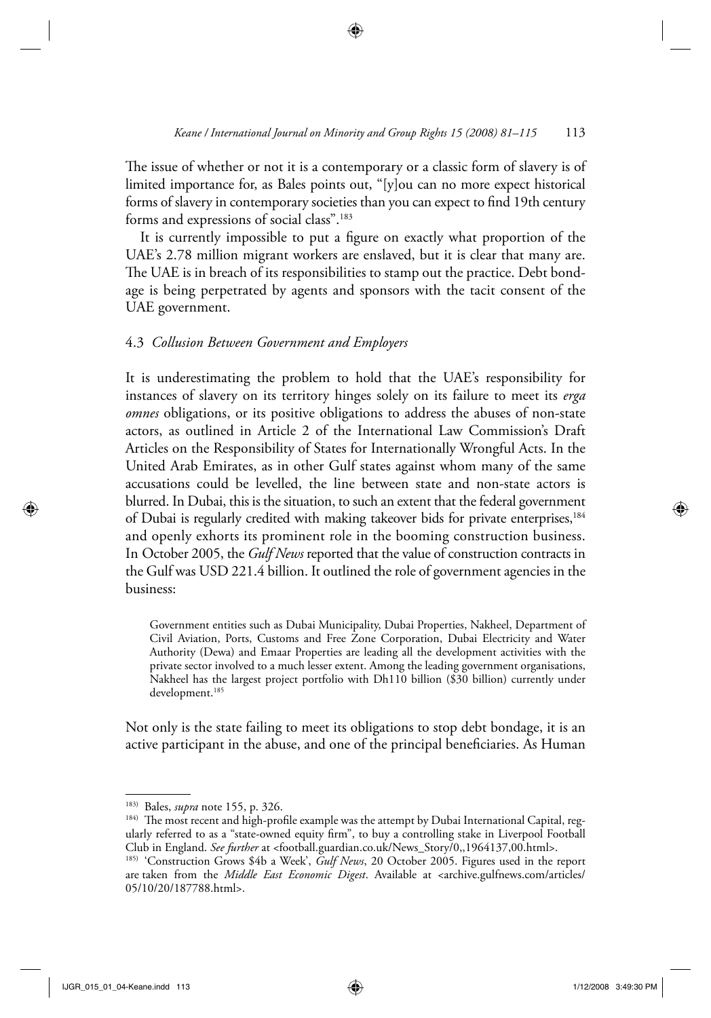The issue of whether or not it is a contemporary or a classic form of slavery is of limited importance for, as Bales points out, "[y]ou can no more expect historical forms of slavery in contemporary societies than you can expect to find 19th century forms and expressions of social class". 183

⊕

It is currently impossible to put a figure on exactly what proportion of the UAE's 2.78 million migrant workers are enslaved, but it is clear that many are. The UAE is in breach of its responsibilities to stamp out the practice. Debt bondage is being perpetrated by agents and sponsors with the tacit consent of the UAE government.

#### 4.3 *Collusion Between Government and Employers*

 It is underestimating the problem to hold that the UAE's responsibility for instances of slavery on its territory hinges solely on its failure to meet its *erga omnes* obligations, or its positive obligations to address the abuses of non-state actors, as outlined in Article 2 of the International Law Commission's Draft Articles on the Responsibility of States for Internationally Wrongful Acts. In the United Arab Emirates, as in other Gulf states against whom many of the same accusations could be levelled, the line between state and non-state actors is blurred. In Dubai, this is the situation, to such an extent that the federal government of Dubai is regularly credited with making takeover bids for private enterprises,<sup>184</sup> and openly exhorts its prominent role in the booming construction business. In October 2005, the *Gulf News* reported that the value of construction contracts in the Gulf was USD 221.4 billion. It outlined the role of government agencies in the business:

 Government entities such as Dubai Municipality, Dubai Properties, Nakheel, Department of Civil Aviation, Ports, Customs and Free Zone Corporation, Dubai Electricity and Water Authority (Dewa) and Emaar Properties are leading all the development activities with the private sector involved to a much lesser extent. Among the leading government organisations, Nakheel has the largest project portfolio with Dh110 billion (\$30 billion) currently under development.<sup>185</sup>

 Not only is the state failing to meet its obligations to stop debt bondage, it is an active participant in the abuse, and one of the principal beneficiaries. As Human

IJGR\_015\_01\_04-Keane.indd 113 JGR\_015\_01\_04-Keane.indd 1/12/2008 3:49:30 PM /12/2008

 <sup>183)</sup> Bales, *supra* note 155, p. 326.

<sup>184)</sup> The most recent and high-profile example was the attempt by Dubai International Capital, regularly referred to as a "state-owned equity firm", to buy a controlling stake in Liverpool Football Club in England. *See further* at <football.guardian.co.uk/News\_Story/0,,1964137,00.html>.

<sup>185) &#</sup>x27;Construction Grows \$4b a Week', Gulf News, 20 October 2005. Figures used in the report are taken from the *Middle East Economic Digest* . Available at <archive.gulfnews.com/articles/ 05/10/20/187788.html>.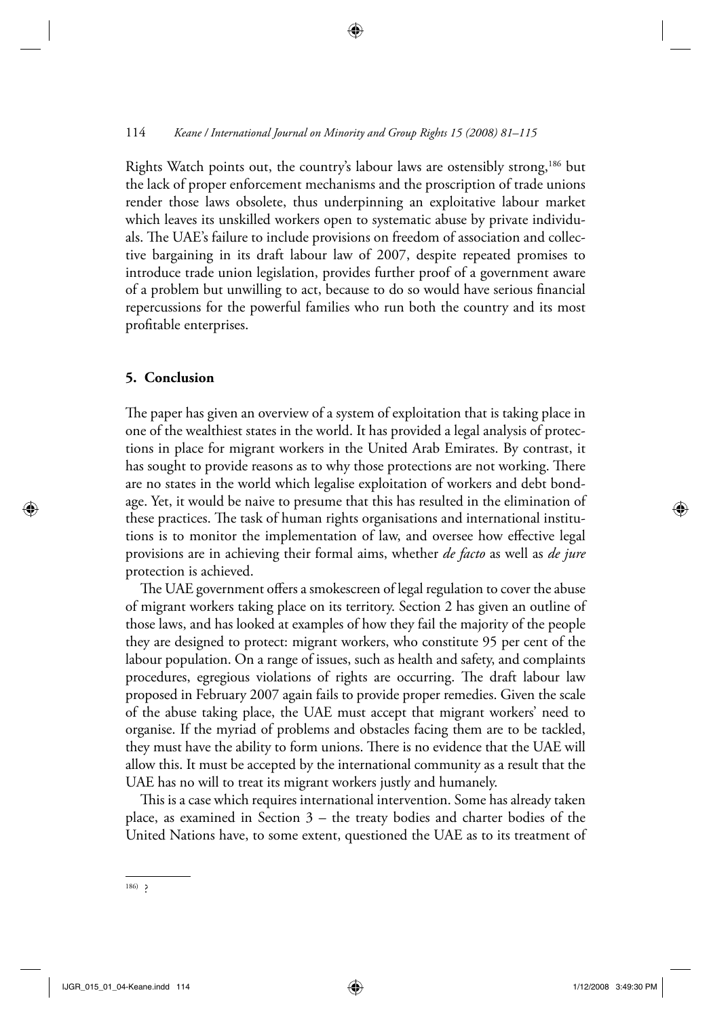⊕

Rights Watch points out, the country's labour laws are ostensibly strong,<sup>186</sup> but the lack of proper enforcement mechanisms and the proscription of trade unions render those laws obsolete, thus underpinning an exploitative labour market which leaves its unskilled workers open to systematic abuse by private individuals. The UAE's failure to include provisions on freedom of association and collective bargaining in its draft labour law of 2007, despite repeated promises to introduce trade union legislation, provides further proof of a government aware of a problem but unwilling to act, because to do so would have serious financial repercussions for the powerful families who run both the country and its most profi table enterprises.

## **5. Conclusion**

◈

The paper has given an overview of a system of exploitation that is taking place in one of the wealthiest states in the world. It has provided a legal analysis of protections in place for migrant workers in the United Arab Emirates. By contrast, it has sought to provide reasons as to why those protections are not working. There are no states in the world which legalise exploitation of workers and debt bondage. Yet, it would be naive to presume that this has resulted in the elimination of these practices. The task of human rights organisations and international institutions is to monitor the implementation of law, and oversee how effective legal provisions are in achieving their formal aims, whether *de facto* as well as *de jure* protection is achieved.

The UAE government offers a smokescreen of legal regulation to cover the abuse of migrant workers taking place on its territory. Section 2 has given an outline of those laws, and has looked at examples of how they fail the majority of the people they are designed to protect: migrant workers, who constitute 95 per cent of the labour population. On a range of issues, such as health and safety, and complaints procedures, egregious violations of rights are occurring. The draft labour law proposed in February 2007 again fails to provide proper remedies. Given the scale of the abuse taking place, the UAE must accept that migrant workers' need to organise. If the myriad of problems and obstacles facing them are to be tackled, they must have the ability to form unions. There is no evidence that the UAE will allow this. It must be accepted by the international community as a result that the UAE has no will to treat its migrant workers justly and humanely.

This is a case which requires international intervention. Some has already taken place, as examined in Section 3 – the treaty bodies and charter bodies of the United Nations have, to some extent, questioned the UAE as to its treatment of

 <sup>186) ?</sup>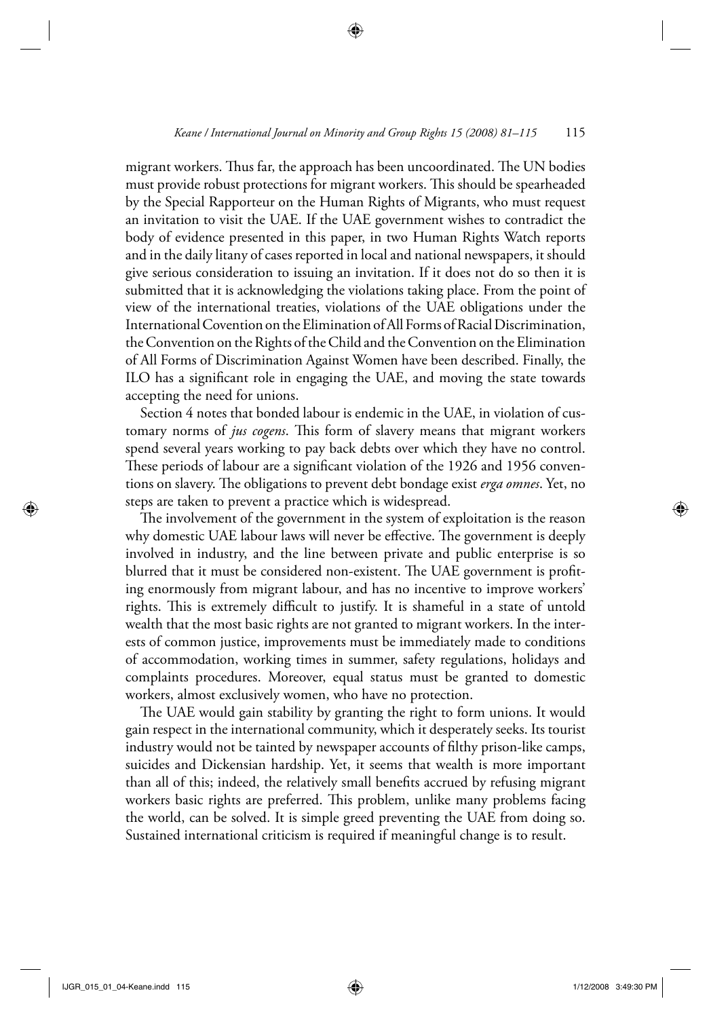⊕

migrant workers. Thus far, the approach has been uncoordinated. The UN bodies must provide robust protections for migrant workers. This should be spearheaded by the Special Rapporteur on the Human Rights of Migrants, who must request an invitation to visit the UAE. If the UAE government wishes to contradict the body of evidence presented in this paper, in two Human Rights Watch reports and in the daily litany of cases reported in local and national newspapers, it should give serious consideration to issuing an invitation. If it does not do so then it is submitted that it is acknowledging the violations taking place. From the point of view of the international treaties, violations of the UAE obligations under the International Covention on the Elimination of All Forms of Racial Discrimination, the Convention on the Rights of the Child and the Convention on the Elimination of All Forms of Discrimination Against Women have been described. Finally, the ILO has a significant role in engaging the UAE, and moving the state towards accepting the need for unions.

 Section 4 notes that bonded labour is endemic in the UAE, in violation of customary norms of *jus cogens*. This form of slavery means that migrant workers spend several years working to pay back debts over which they have no control. These periods of labour are a significant violation of the 1926 and 1956 conventions on slavery. The obligations to prevent debt bondage exist *erga omnes*. Yet, no steps are taken to prevent a practice which is widespread.

The involvement of the government in the system of exploitation is the reason why domestic UAE labour laws will never be effective. The government is deeply involved in industry, and the line between private and public enterprise is so blurred that it must be considered non-existent. The UAE government is profiting enormously from migrant labour, and has no incentive to improve workers' rights. This is extremely difficult to justify. It is shameful in a state of untold wealth that the most basic rights are not granted to migrant workers. In the interests of common justice, improvements must be immediately made to conditions of accommodation, working times in summer, safety regulations, holidays and complaints procedures. Moreover, equal status must be granted to domestic workers, almost exclusively women, who have no protection.

The UAE would gain stability by granting the right to form unions. It would gain respect in the international community, which it desperately seeks. Its tourist industry would not be tainted by newspaper accounts of filthy prison-like camps, suicides and Dickensian hardship. Yet, it seems that wealth is more important than all of this; indeed, the relatively small benefits accrued by refusing migrant workers basic rights are preferred. This problem, unlike many problems facing the world, can be solved. It is simple greed preventing the UAE from doing so. Sustained international criticism is required if meaningful change is to result.

◈